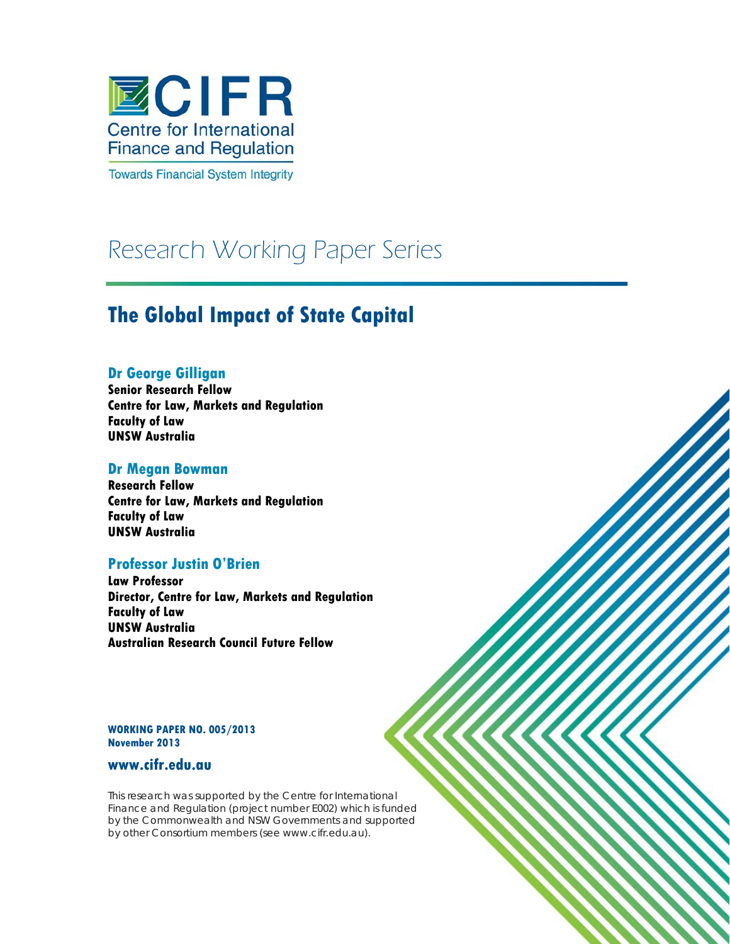

**Towards Financial System Integrity** 

# Research Working Paper Series

# **The Global Impact of State Capital**

# **Dr George Gilligan**

**Senior Research Fellow Centre for Law, Markets and Regulation Faculty of Law UNSW Australia**

# **Dr Megan Bowman**

**Research Fellow Centre for Law, Markets and Regulation Faculty of Law UNSW Australia**

# **Professor Justin O'Brien**

**Law Professor Director, Centre for Law, Markets and Regulation Faculty of Law UNSW Australia Australian Research Council Future Fellow** 

**WORKING PAPER NO. 005/2013 November 2013**

# **www.cifr.edu.au**

This research was supported by the Centre for International Finance and Regulation (project number E002) which is funded by the Commonwealth and NSW Governments and supported by other Consortium members (see www.cifr.edu.au).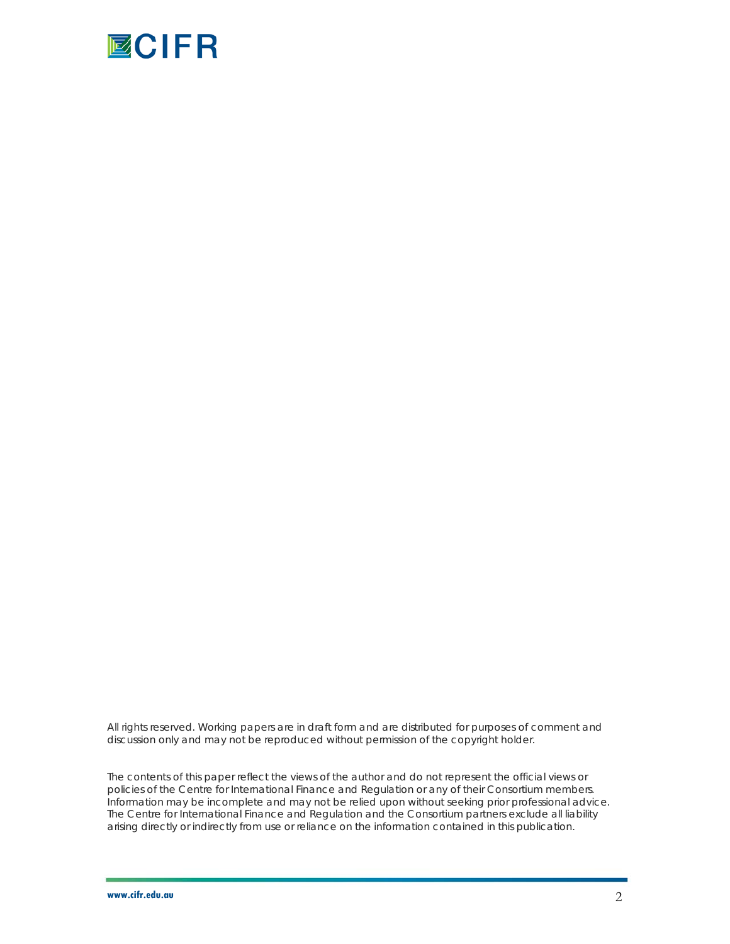

All rights reserved. Working papers are in draft form and are distributed for purposes of comment and discussion only and may not be reproduced without permission of the copyright holder.

The contents of this paper reflect the views of the author and do not represent the official views or policies of the Centre for International Finance and Regulation or any of their Consortium members. Information may be incomplete and may not be relied upon without seeking prior professional advice. The Centre for International Finance and Regulation and the Consortium partners exclude all liability arising directly or indirectly from use or reliance on the information contained in this publication.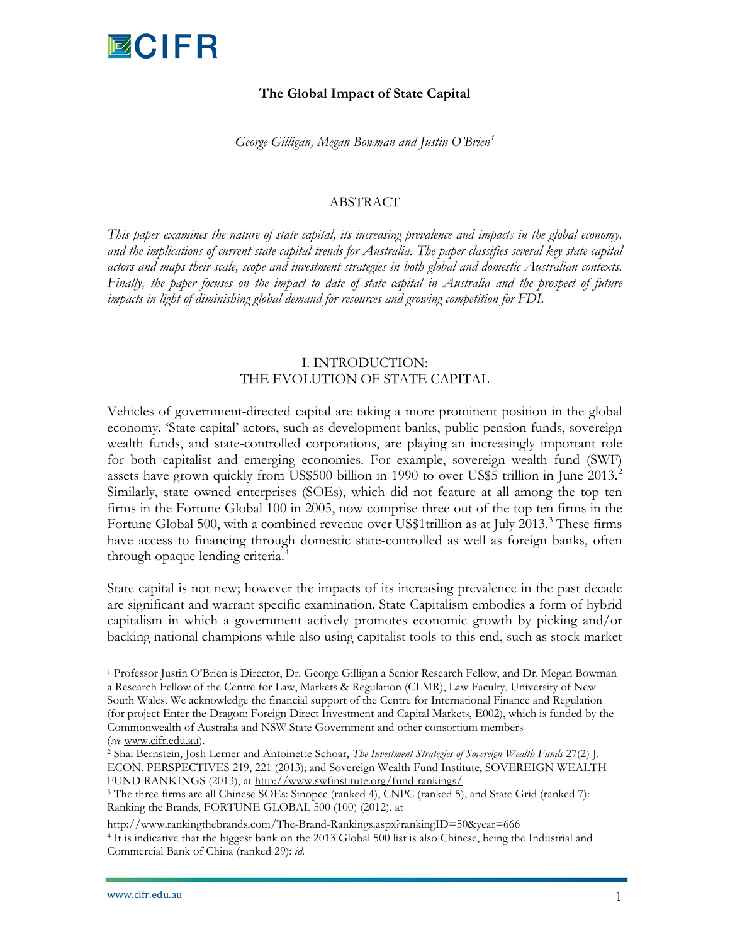

## **The Global Impact of State Capital**

*George Gilligan, Megan Bowman and Justin O'Brien[1](#page-2-0)*

#### ABSTRACT

*This paper examines the nature of state capital, its increasing prevalence and impacts in the global economy, and the implications of current state capital trends for Australia. The paper classifies several key state capital actors and maps their scale, scope and investment strategies in both global and domestic Australian contexts. Finally, the paper focuses on the impact to date of state capital in Australia and the prospect of future impacts in light of diminishing global demand for resources and growing competition for FDI.* 

## I. INTRODUCTION: THE EVOLUTION OF STATE CAPITAL

Vehicles of government-directed capital are taking a more prominent position in the global economy. 'State capital' actors, such as development banks, public pension funds, sovereign wealth funds, and state-controlled corporations, are playing an increasingly important role for both capitalist and emerging economies. For example, sovereign wealth fund (SWF) assets have grown quickly from US\$500 billion in 1990 to over US\$5 trillion in June  $2013<sup>2</sup>$  $2013<sup>2</sup>$ Similarly, state owned enterprises (SOEs), which did not feature at all among the top ten firms in the Fortune Global 100 in 2005, now comprise three out of the top ten firms in the Fortune Global 500, with a combined revenue over US\$1 trillion as at July 201[3](#page-2-2).<sup>3</sup> These firms have access to financing through domestic state-controlled as well as foreign banks, often through opaque lending criteria.<sup>[4](#page-2-3)</sup>

<span id="page-2-4"></span>State capital is not new; however the impacts of its increasing prevalence in the past decade are significant and warrant specific examination. State Capitalism embodies a form of hybrid capitalism in which a government actively promotes economic growth by picking and/or backing national champions while also using capitalist tools to this end, such as stock market

<span id="page-2-0"></span><sup>&</sup>lt;sup>1</sup> Professor Justin O'Brien is Director, Dr. George Gilligan a Senior Research Fellow, and Dr. Megan Bowman a Research Fellow of the Centre for Law, Markets & Regulation (CLMR), Law Faculty, University of New South Wales. We acknowledge the financial support of the Centre for International Finance and Regulation (for project Enter the Dragon: Foreign Direct Investment and Capital Markets, E002), which is funded by the Commonwealth of Australia and NSW State Government and other consortium members

<span id="page-2-1"></span><sup>(</sup>*see* [www.cifr.edu.au\)](http://www.cif.edu.au/). 2 Shai Bernstein, Josh Lerner and Antoinette Schoar, *The Investment Strategies of Sovereign Wealth Funds* 27(2) J. ECON. PERSPECTIVES 219, 221 (2013); and Sovereign Wealth Fund Institute, SOVEREIGN WEALTH FUND RANKINGS (2013), at<http://www.swfinstitute.org/fund-rankings/>

<span id="page-2-2"></span><sup>3</sup> The three firms are all Chinese SOEs: Sinopec (ranked 4), CNPC (ranked 5), and State Grid (ranked 7): Ranking the Brands, FORTUNE GLOBAL 500 (100) (2012), at

<span id="page-2-3"></span>http://www.rankingthebrands.com/The-Brand-Rankings.aspx?rankingID=50&year=666<br><sup>4</sup> It is indicative that the biggest bank on the 2013 Global 500 list is also Chinese, being the Industrial and Commercial Bank of China (ranked 29): *id*.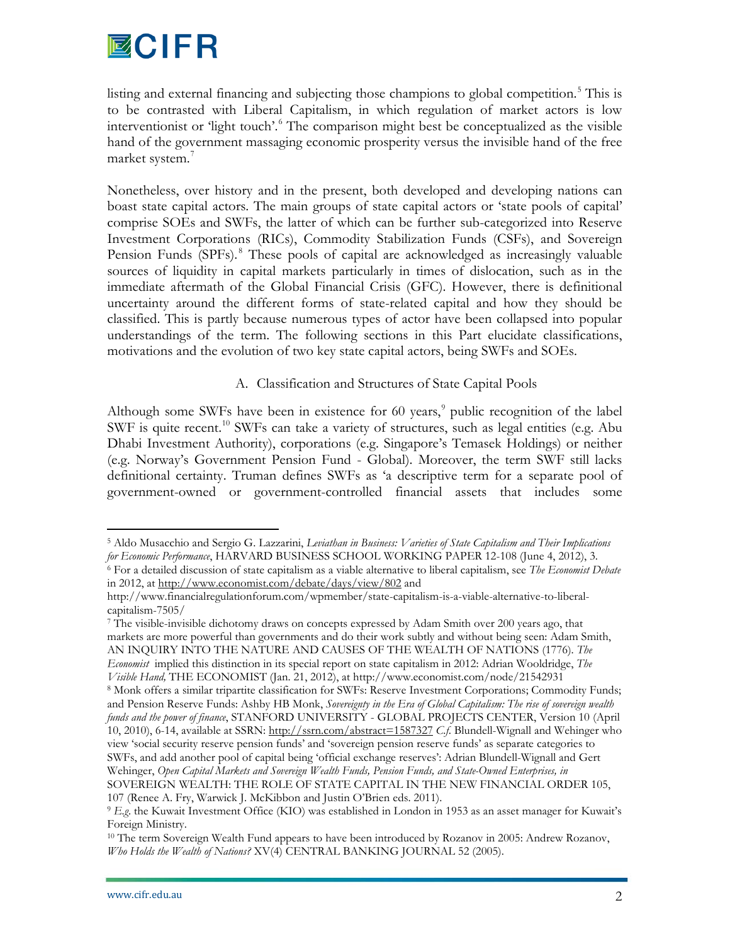

listing and external financing and subjecting those champions to global competition.<sup>[5](#page-2-4)</sup> This is to be contrasted with Liberal Capitalism, in which regulation of market actors is low interventionist or 'light touch'.<sup>[6](#page-3-0)</sup> The comparison might best be conceptualized as the visible hand of the government massaging economic prosperity versus the invisible hand of the free market system.<sup>[7](#page-3-1)</sup>

Nonetheless, over history and in the present, both developed and developing nations can boast state capital actors. The main groups of state capital actors or 'state pools of capital' comprise SOEs and SWFs, the latter of which can be further sub-categorized into Reserve Investment Corporations (RICs), Commodity Stabilization Funds (CSFs), and Sovereign Pension Funds (SPFs).<sup>[8](#page-3-2)</sup> These pools of capital are acknowledged as increasingly valuable sources of liquidity in capital markets particularly in times of dislocation, such as in the immediate aftermath of the Global Financial Crisis (GFC). However, there is definitional uncertainty around the different forms of state-related capital and how they should be classified. This is partly because numerous types of actor have been collapsed into popular understandings of the term. The following sections in this Part elucidate classifications, motivations and the evolution of two key state capital actors, being SWFs and SOEs.

# A. Classification and Structures of State Capital Pools

Although some SWFs have been in existence for  $60$  years, $9$  public recognition of the label SWF is quite recent.<sup>[10](#page-3-4)</sup> SWFs can take a variety of structures, such as legal entities (e.g. Abu Dhabi Investment Authority), corporations (e.g. Singapore's Temasek Holdings) or neither (e.g. Norway's Government Pension Fund - Global). Moreover, the term SWF still lacks definitional certainty. Truman defines SWFs as 'a descriptive term for a separate pool of government-owned or government-controlled financial assets that includes some

<span id="page-3-5"></span><span id="page-3-0"></span> <sup>5</sup> Aldo Musacchio and Sergio G. Lazzarini, *Leviathan in Business: Varieties of State Capitalism and Their Implications for Economic Performance*, HARVARD BUSINESS SCHOOL WORKING PAPER 12-108 (June 4, 2012), 3. 6 For a detailed discussion of state capitalism as a viable alternative to liberal capitalism, see *The Economist Debate* in 2012, at<http://www.economist.com/debate/days/view/802> and

http://www.financialregulationforum.com/wpmember/state-capitalism-is-a-viable-alternative-to-liberalcapitalism-7505/

<span id="page-3-1"></span><sup>7</sup> The visible-invisible dichotomy draws on concepts expressed by Adam Smith over 200 years ago, that markets are more powerful than governments and do their work subtly and without being seen: Adam Smith, AN INQUIRY INTO THE NATURE AND CAUSES OF THE WEALTH OF NATIONS (1776). *The Economist* implied this distinction in its special report on state capitalism in 2012: Adrian Wooldridge, *The Visible Hand,* THE ECONOMIST (Jan. 21, 2012), at http://www.economist.com/node/21542931

<span id="page-3-2"></span><sup>8</sup> Monk offers a similar tripartite classification for SWFs: Reserve Investment Corporations; Commodity Funds; and Pension Reserve Funds: Ashby HB Monk, *Sovereignty in the Era of Global Capitalism: The rise of sovereign wealth funds and the power of finance*, STANFORD UNIVERSITY - GLOBAL PROJECTS CENTER, Version 10 (April 10, 2010), 6-14, available at SSRN[: http://ssrn.com/abstract=1587327](http://ssrn.com/abstract=1587327) *C.f*. Blundell-Wignall and Wehinger who view 'social security reserve pension funds' and 'sovereign pension reserve funds' as separate categories to SWFs, and add another pool of capital being 'official exchange reserves': Adrian Blundell-Wignall and Gert Wehinger, *Open Capital Markets and Sovereign Wealth Funds, Pension Funds, and State-Owned Enterprises, in* SOVEREIGN WEALTH: THE ROLE OF STATE CAPITAL IN THE NEW FINANCIAL ORDER 105, 107 (Renee A. Fry, Warwick J. McKibbon and Justin O'Brien eds. 2011).

<span id="page-3-3"></span><sup>9</sup> *E.g*. the Kuwait Investment Office (KIO) was established in London in 1953 as an asset manager for Kuwait's Foreign Ministry.

<span id="page-3-4"></span><sup>&</sup>lt;sup>10</sup> The term Sovereign Wealth Fund appears to have been introduced by Rozanov in 2005: Andrew Rozanov, *Who Holds the Wealth of Nations?* XV(4) CENTRAL BANKING JOURNAL 52 (2005).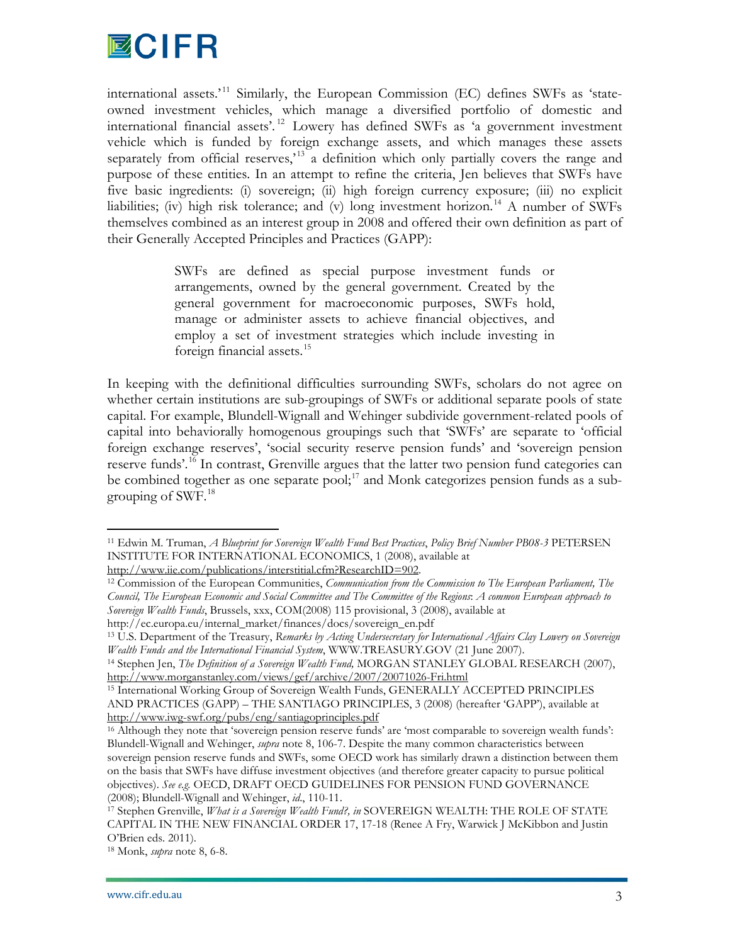

international assets.'<sup>[11](#page-3-5)</sup> Similarly, the European Commission (EC) defines SWFs as 'stateowned investment vehicles, which manage a diversified portfolio of domestic and international financial assets'. [12](#page-4-0) Lowery has defined SWFs as 'a government investment vehicle which is funded by foreign exchange assets, and which manages these assets separately from official reserves,<sup> $13$ </sup> a definition which only partially covers the range and purpose of these entities. In an attempt to refine the criteria, Jen believes that SWFs have five basic ingredients: (i) sovereign; (ii) high foreign currency exposure; (iii) no explicit liabilities; (iv) high risk tolerance; and (v) long investment horizon.<sup>[14](#page-4-2)</sup> A number of SWFs themselves combined as an interest group in 2008 and offered their own definition as part of their Generally Accepted Principles and Practices (GAPP):

> SWFs are defined as special purpose investment funds or arrangements, owned by the general government. Created by the general government for macroeconomic purposes, SWFs hold, manage or administer assets to achieve financial objectives, and employ a set of investment strategies which include investing in foreign financial assets.<sup>[15](#page-4-3)</sup>

In keeping with the definitional difficulties surrounding SWFs, scholars do not agree on whether certain institutions are sub-groupings of SWFs or additional separate pools of state capital. For example, Blundell-Wignall and Wehinger subdivide government-related pools of capital into behaviorally homogenous groupings such that 'SWFs' are separate to 'official foreign exchange reserves', 'social security reserve pension funds' and 'sovereign pension reserve funds'.<sup>[16](#page-4-4)</sup> In contrast, Grenville argues that the latter two pension fund categories can be combined together as one separate pool;<sup>[17](#page-4-5)</sup> and Monk categorizes pension funds as a sub-grouping of SWF.<sup>[18](#page-4-6)</sup>

[http://www.iie.com/publications/interstitial.cfm?ResearchID=902.](http://www.iie.com/publications/interstitial.cfm?ResearchID=902)

 <sup>11</sup> Edwin M. Truman, *A Blueprint for Sovereign Wealth Fund Best Practices*, *Policy Brief Number PB08-3* PETERSEN INSTITUTE FOR INTERNATIONAL ECONOMICS, 1 (2008), available at

<span id="page-4-0"></span><sup>12</sup> Commission of the European Communities, *Communication from the Commission to The European Parliament, The Council, The European Economic and Social Committee and The Committee of the Regions*: *A common European approach to Sovereign Wealth Funds*, Brussels, xxx, COM(2008) 115 provisional, 3 (2008), available at

<span id="page-4-7"></span><span id="page-4-1"></span>http://ec.europa.eu/internal\_market/finances/docs/sovereign\_en.pdf

<sup>13</sup> U.S. Department of the Treasury, *Remarks by Acting Undersecretary for International Affairs Clay Lowery on Sovereign Wealth Funds and the International Financial System*, WWW.TREASURY.GOV (21 June 2007).

<span id="page-4-2"></span><sup>14</sup> Stephen Jen, *The Definition of a Sovereign Wealth Fund,* MORGAN STANLEY GLOBAL RESEARCH (2007), <http://www.morganstanley.com/views/gef/archive/2007/20071026-Fri.html>

<span id="page-4-3"></span><sup>15</sup> International Working Group of Sovereign Wealth Funds, GENERALLY ACCEPTED PRINCIPLES AND PRACTICES (GAPP) – THE SANTIAGO PRINCIPLES, 3 (2008) (hereafter 'GAPP'), available at <http://www.iwg-swf.org/pubs/eng/santiagoprinciples.pdf>

<span id="page-4-4"></span><sup>16</sup> Although they note that 'sovereign pension reserve funds' are 'most comparable to sovereign wealth funds': Blundell-Wignall and Wehinger, *supra* note 8, 106-7. Despite the many common characteristics between sovereign pension reserve funds and SWFs, some OECD work has similarly drawn a distinction between them on the basis that SWFs have diffuse investment objectives (and therefore greater capacity to pursue political objectives). *See e.g.* OECD, DRAFT OECD GUIDELINES FOR PENSION FUND GOVERNANCE (2008); Blundell-Wignall and Wehinger, *id*., 110-11.

<span id="page-4-5"></span><sup>17</sup> Stephen Grenville, *What is a Sovereign Wealth Fund?, in* SOVEREIGN WEALTH: THE ROLE OF STATE CAPITAL IN THE NEW FINANCIAL ORDER 17, 17-18 (Renee A Fry, Warwick J McKibbon and Justin O'Brien eds. 2011).

<span id="page-4-6"></span><sup>18</sup> Monk, *supra* note 8, 6-8.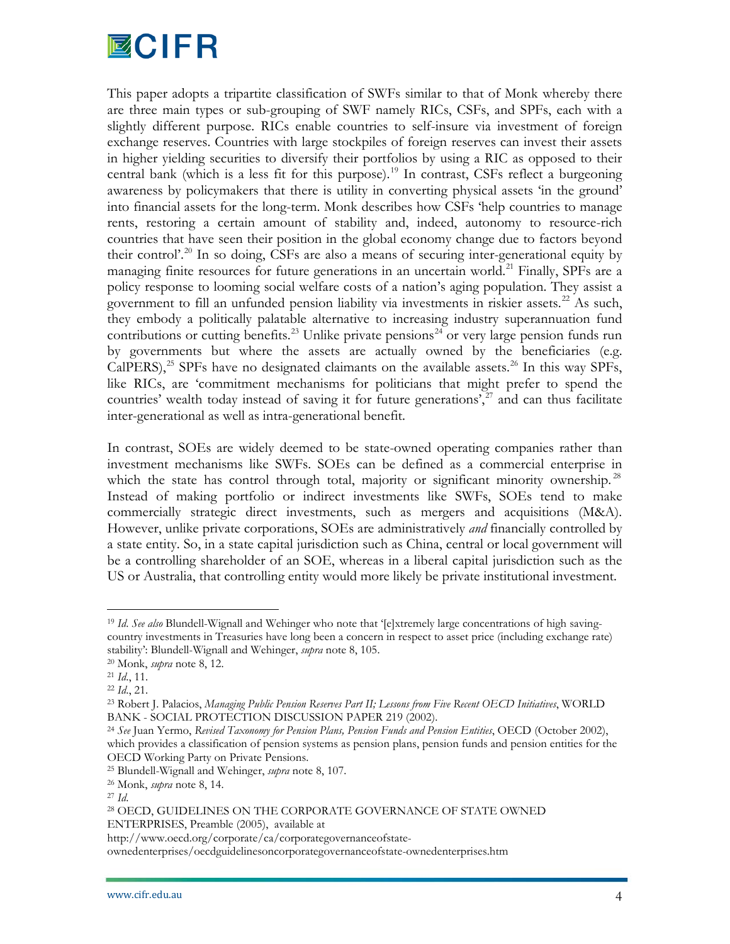# **MCIFR**

This paper adopts a tripartite classification of SWFs similar to that of Monk whereby there are three main types or sub-grouping of SWF namely RICs, CSFs, and SPFs, each with a slightly different purpose. RICs enable countries to self-insure via investment of foreign exchange reserves. Countries with large stockpiles of foreign reserves can invest their assets in higher yielding securities to diversify their portfolios by using a RIC as opposed to their central bank (which is a less fit for this purpose).<sup>[19](#page-4-7)</sup> In contrast, CSFs reflect a burgeoning awareness by policymakers that there is utility in converting physical assets 'in the ground' into financial assets for the long-term. Monk describes how CSFs 'help countries to manage rents, restoring a certain amount of stability and, indeed, autonomy to resource-rich countries that have seen their position in the global economy change due to factors beyond their control'.<sup>[20](#page-5-0)</sup> In so doing, CSFs are also a means of securing inter-generational equity by managing finite resources for future generations in an uncertain world.<sup>[21](#page-5-1)</sup> Finally, SPFs are a policy response to looming social welfare costs of a nation's aging population. They assist a government to fill an unfunded pension liability via investments in riskier assets.<sup>[22](#page-5-2)</sup> As such, they embody a politically palatable alternative to increasing industry superannuation fund contributions or cutting benefits.<sup>[23](#page-5-3)</sup> Unlike private pensions<sup>[24](#page-5-4)</sup> or very large pension funds run by governments but where the assets are actually owned by the beneficiaries (e.g. CalPERS),<sup>[25](#page-5-5)</sup> SPFs have no designated claimants on the available assets.<sup>[26](#page-5-6)</sup> In this way SPFs, like RICs, are 'commitment mechanisms for politicians that might prefer to spend the countries' wealth today instead of saving it for future generations',<sup>[27](#page-5-7)</sup> and can thus facilitate inter-generational as well as intra-generational benefit.

In contrast, SOEs are widely deemed to be state-owned operating companies rather than investment mechanisms like SWFs. SOEs can be defined as a commercial enterprise in which the state has control through total, majority or significant minority ownership.<sup>[28](#page-5-8)</sup> Instead of making portfolio or indirect investments like SWFs, SOEs tend to make commercially strategic direct investments, such as mergers and acquisitions (M&A). However, unlike private corporations, SOEs are administratively *and* financially controlled by a state entity. So, in a state capital jurisdiction such as China, central or local government will be a controlling shareholder of an SOE, whereas in a liberal capital jurisdiction such as the US or Australia, that controlling entity would more likely be private institutional investment.

 <sup>19</sup> *Id*. *See also* Blundell-Wignall and Wehinger who note that '[e]xtremely large concentrations of high savingcountry investments in Treasuries have long been a concern in respect to asset price (including exchange rate) stability': Blundell-Wignall and Wehinger, *supra* note 8, 105.

<span id="page-5-0"></span><sup>20</sup> Monk, *supra* note 8, 12.

<span id="page-5-1"></span><sup>21</sup> *Id*., 11.

<span id="page-5-2"></span><sup>22</sup> *Id*., 21.

<span id="page-5-3"></span><sup>23</sup> Robert J. Palacios, *Managing Public Pension Reserves Part II; Lessons from Five Recent OECD Initiatives*, WORLD BANK - SOCIAL PROTECTION DISCUSSION PAPER 219 (2002).<br><sup>24</sup> See Juan Yermo, *Revised Taxonomy for Pension Plans, Pension Funds and Pension Entities*, OECD (October 2002),

<span id="page-5-4"></span>which provides a classification of pension systems as pension plans, pension funds and pension entities for the OECD Working Party on Private Pensions.

<span id="page-5-5"></span><sup>25</sup> Blundell-Wignall and Wehinger, *supra* note 8, 107. 26 Monk, *supra* note 8, 14.

<span id="page-5-7"></span><span id="page-5-6"></span><sup>27</sup> *Id*.

<span id="page-5-8"></span><sup>28</sup> OECD, GUIDELINES ON THE CORPORATE GOVERNANCE OF STATE OWNED ENTERPRISES, Preamble (2005), available at

http://www.oecd.org/corporate/ca/corporategovernanceofstate-

ownedenterprises/oecdguidelinesoncorporategovernanceofstate-ownedenterprises.htm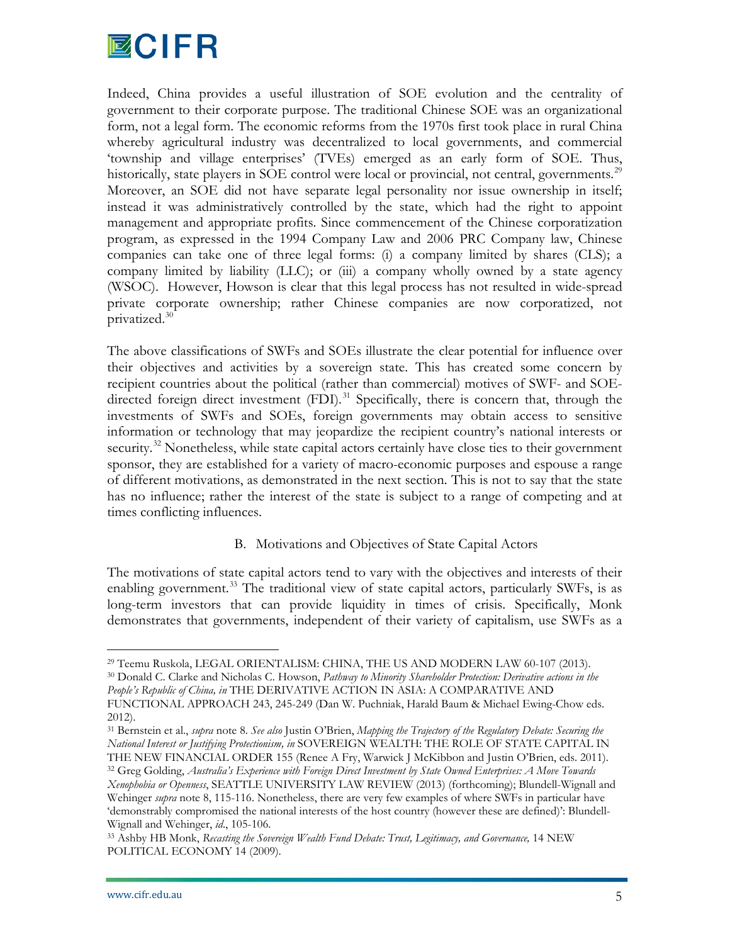

Indeed, China provides a useful illustration of SOE evolution and the centrality of government to their corporate purpose. The traditional Chinese SOE was an organizational form, not a legal form. The economic reforms from the 1970s first took place in rural China whereby agricultural industry was decentralized to local governments, and commercial 'township and village enterprises' (TVEs) emerged as an early form of SOE. Thus, historically, state players in SOE control were local or provincial, not central, governments.<sup>[29](#page-5-0)</sup> Moreover, an SOE did not have separate legal personality nor issue ownership in itself; instead it was administratively controlled by the state, which had the right to appoint management and appropriate profits. Since commencement of the Chinese corporatization program, as expressed in the 1994 Company Law and 2006 PRC Company law, Chinese companies can take one of three legal forms: (i) a company limited by shares (CLS); a company limited by liability (LLC); or (iii) a company wholly owned by a state agency (WSOC). However, Howson is clear that this legal process has not resulted in wide-spread private corporate ownership; rather Chinese companies are now corporatized, not privatized.[30](#page-6-0)

The above classifications of SWFs and SOEs illustrate the clear potential for influence over their objectives and activities by a sovereign state. This has created some concern by recipient countries about the political (rather than commercial) motives of SWF- and SOEdirected foreign direct investment  $(FDI)$ .<sup>[31](#page-6-1)</sup> Specifically, there is concern that, through the investments of SWFs and SOEs, foreign governments may obtain access to sensitive information or technology that may jeopardize the recipient country's national interests or security.<sup>[32](#page-6-2)</sup> Nonetheless, while state capital actors certainly have close ties to their government sponsor, they are established for a variety of macro-economic purposes and espouse a range of different motivations, as demonstrated in the next section. This is not to say that the state has no influence; rather the interest of the state is subject to a range of competing and at times conflicting influences.

# B. Motivations and Objectives of State Capital Actors

<span id="page-6-4"></span>The motivations of state capital actors tend to vary with the objectives and interests of their enabling government.<sup>[33](#page-6-3)</sup> The traditional view of state capital actors, particularly SWFs, is as long-term investors that can provide liquidity in times of crisis. Specifically, Monk demonstrates that governments, independent of their variety of capitalism, use SWFs as a

<span id="page-6-0"></span><sup>30</sup> Donald C. Clarke and Nicholas C. Howson, *Pathway to Minority Shareholder Protection: Derivative actions in the People's Republic of China, in* THE DERIVATIVE ACTION IN ASIA: A COMPARATIVE AND FUNCTIONAL APPROACH 243, 245-249 (Dan W. Puchniak, Harald Baum & Michael Ewing-Chow eds. 2012).

 <sup>29</sup> Teemu Ruskola, LEGAL ORIENTALISM: CHINA, THE US AND MODERN LAW 60-107 (2013).

<span id="page-6-1"></span><sup>31</sup> Bernstein et al., *supra* note 8. *See also* Justin O'Brien, *Mapping the Trajectory of the Regulatory Debate: Securing the National Interest or Justifying Protectionism, in* SOVEREIGN WEALTH: THE ROLE OF STATE CAPITAL IN THE NEW FINANCIAL ORDER 155 (Renee A Fry, Warwick J McKibbon and Justin O'Brien, eds. 2011).

<span id="page-6-2"></span><sup>32</sup> Greg Golding, *Australia's Experience with Foreign Direct Investment by State Owned Enterprises: A Move Towards Xenophobia or Openness*, SEATTLE UNIVERSITY LAW REVIEW (2013) (forthcoming); Blundell-Wignall and Wehinger *supra* note 8, 115-116. Nonetheless, there are very few examples of where SWFs in particular have 'demonstrably compromised the national interests of the host country (however these are defined)': Blundell-Wignall and Wehinger, *id*., 105-106.

<span id="page-6-3"></span><sup>33</sup> Ashby HB Monk, *Recasting the Sovereign Wealth Fund Debate: Trust, Legitimacy, and Governance,* 14 NEW POLITICAL ECONOMY 14 (2009).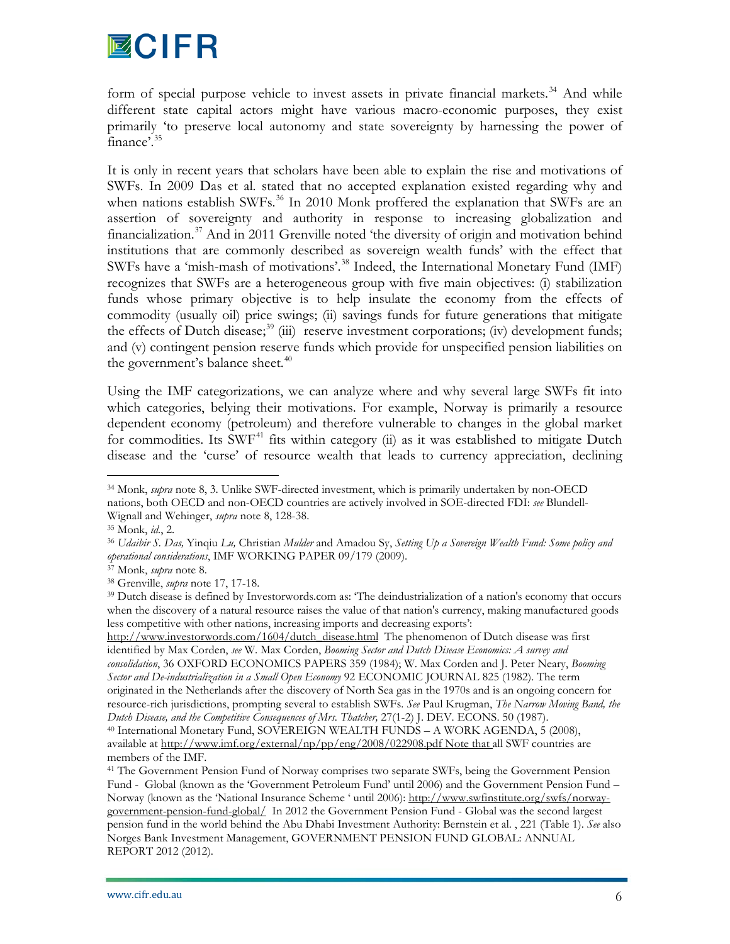# **MCIFR**

form of special purpose vehicle to invest assets in private financial markets.<sup>[34](#page-6-4)</sup> And while different state capital actors might have various macro-economic purposes, they exist primarily 'to preserve local autonomy and state sovereignty by harnessing the power of finance'[.35](#page-7-0)

It is only in recent years that scholars have been able to explain the rise and motivations of SWFs. In 2009 Das et al. stated that no accepted explanation existed regarding why and when nations establish SWFs.<sup>[36](#page-7-1)</sup> In 2010 Monk proffered the explanation that SWFs are an assertion of sovereignty and authority in response to increasing globalization and financialization.<sup>37</sup> And in 2011 Grenville noted 'the diversity of origin and motivation behind institutions that are commonly described as sovereign wealth funds' with the effect that SWFs have a 'mish-mash of motivations'.<sup>[38](#page-7-3)</sup> Indeed, the International Monetary Fund (IMF) recognizes that SWFs are a heterogeneous group with five main objectives: (i) stabilization funds whose primary objective is to help insulate the economy from the effects of commodity (usually oil) price swings; (ii) savings funds for future generations that mitigate the effects of Dutch disease;<sup>[39](#page-7-4)</sup> (iii) reserve investment corporations; (iv) development funds; and (v) contingent pension reserve funds which provide for unspecified pension liabilities on the government's balance sheet.<sup>[40](#page-7-5)</sup>

Using the IMF categorizations, we can analyze where and why several large SWFs fit into which categories, belying their motivations. For example, Norway is primarily a resource dependent economy (petroleum) and therefore vulnerable to changes in the global market for commodities. Its SWF<sup>[41](#page-7-6)</sup> fits within category (ii) as it was established to mitigate Dutch disease and the 'curse' of resource wealth that leads to currency appreciation, declining

[http://www.investorwords.com/1604/dutch\\_disease.html](http://www.investorwords.com/1604/dutch_disease.html) The phenomenon of Dutch disease was first identified by Max Corden, *see* W. Max Corden, *Booming Sector and Dutch Disease Economics: A survey and consolidation*, 36 OXFORD ECONOMICS PAPERS 359 (1984); W. Max Corden and J. Peter Neary, *Booming Sector and De-industrialization in a Small Open Economy* 92 ECONOMIC JOURNAL 825 (1982). The term originated in the Netherlands after the discovery o[f North](http://www.businessdictionary.com/definition/North.html) Sea [gas](http://www.investorwords.com/7640/gas.html) in the 1970s and is an ongoing concern for resource-rich jurisdictions, prompting several to establish SWFs. *See* Paul Krugman, *The Narrow Moving Band, the Dutch Disease, and the Competitive Consequences of Mrs. Thatcher,* 27(1-2) J. DEV. ECONS. 50 (1987). <sup>40</sup> International Monetary Fund, SOVEREIGN WEALTH FUNDS – A WORK AGENDA, 5 (2008), available at<http://www.imf.org/external/np/pp/eng/2008/022908.pdf> Note that all SWF countries are members of the IMF.

 <sup>34</sup> Monk, *supra* note 8, 3. Unlike SWF-directed investment, which is primarily undertaken by non-OECD nations, both OECD and non-OECD countries are actively involved in SOE-directed FDI: *see* Blundell-Wignall and Wehinger, *supra* note 8, 128-38.

<sup>35</sup> Monk, *id.*, 2.

<span id="page-7-1"></span><span id="page-7-0"></span><sup>36</sup> *Udaibir S. Das,* Yinqiu *Lu,* Christian *Mulder* and Amadou Sy, *Setting Up a Sovereign Wealth Fund: Some policy and operational considerations*, IMF WORKING PAPER 09/179 (2009).

<span id="page-7-2"></span><sup>37</sup> Monk, *supra* note 8.

<span id="page-7-3"></span><sup>38</sup> Grenville, *supra* note 17, 17-18.

<span id="page-7-7"></span><span id="page-7-4"></span><sup>&</sup>lt;sup>39</sup> Dutch disease is defined by Investorwords.com as: 'The deindustrialization of a [nation's](http://www.businessdictionary.com/definition/nation.html) [economy](http://www.investorwords.com/1652/economy.html) that occurs when the [discovery](http://www.businessdictionary.com/definition/discovery.html) of [a natural resource](http://www.businessdictionary.com/definition/natural-resource.html) [raises](http://www.investorwords.com/4025/raise.html) the [value](http://www.investorwords.com/5209/value.html) of that nation's [currency,](http://www.investorwords.com/1240/currency.html) making manufactured [goods](http://www.investorwords.com/2209/goods.html) less [competitive](http://www.investorwords.com/997/competitive.html) with other nations, increasing [imports](http://www.investorwords.com/2383/import.html) and decreasing [exports':](http://www.investorwords.com/1852/export.html)

<span id="page-7-6"></span><span id="page-7-5"></span><sup>&</sup>lt;sup>41</sup> The Government Pension Fund of Norway comprises two separate SWFs, being the Government Pension Fund - Global (known as the 'Government Petroleum Fund' until 2006) and the Government Pension Fund – Norway (known as the 'National Insurance Scheme ' until 2006): [http://www.swfinstitute.org/swfs/norway](http://www.swfinstitute.org/swfs/norway-government-pension-fund-global/)[government-pension-fund-global/](http://www.swfinstitute.org/swfs/norway-government-pension-fund-global/) In 2012 the Government Pension Fund - Global was the second largest pension fund in the world behind the Abu Dhabi Investment Authority: Bernstein et al. , 221 (Table 1). *See* also Norges Bank Investment Management, GOVERNMENT PENSION FUND GLOBAL: ANNUAL REPORT 2012 (2012).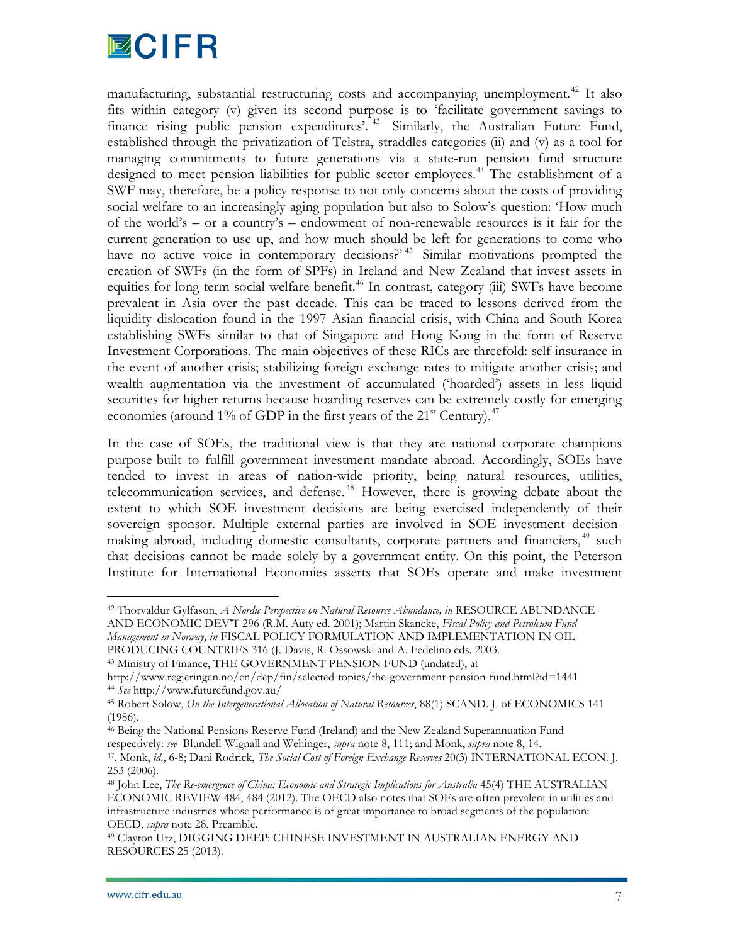

manufacturing, substantial restructuring costs and accompanying unemployment.<sup>[42](#page-7-7)</sup> It also fits within category (v) given its second purpose is to 'facilitate government savings to finance rising public pension expenditures'.<sup>[43](#page-8-0)</sup> Similarly, the Australian Future Fund, established through the privatization of Telstra, straddles categories (ii) and (v) as a tool for managing commitments to future generations via a state-run pension fund structure designed to meet pension liabilities for public sector employees.<sup>[44](#page-8-1)</sup> The establishment of a SWF may, therefore, be a policy response to not only concerns about the costs of providing social welfare to an increasingly aging population but also to Solow's question: 'How much of the world's – or a country's – endowment of non-renewable resources is it fair for the current generation to use up, and how much should be left for generations to come who have no active voice in contemporary decisions?<sup>[45](#page-8-2)</sup> Similar motivations prompted the creation of SWFs (in the form of SPFs) in Ireland and New Zealand that invest assets in equities for long-term social welfare benefit.<sup>[46](#page-8-3)</sup> In contrast, category (iii) SWFs have become prevalent in Asia over the past decade. This can be traced to lessons derived from the liquidity dislocation found in the 1997 Asian financial crisis, with China and South Korea establishing SWFs similar to that of Singapore and Hong Kong in the form of Reserve Investment Corporations. The main objectives of these RICs are threefold: self-insurance in the event of another crisis; stabilizing foreign exchange rates to mitigate another crisis; and wealth augmentation via the investment of accumulated ('hoarded') assets in less liquid securities for higher returns because hoarding reserves can be extremely costly for emerging economies (around 1% of GDP in the first years of the  $21^{st}$  Century).<sup>[47](#page-8-4)</sup>

In the case of SOEs, the traditional view is that they are national corporate champions purpose-built to fulfill government investment mandate abroad. Accordingly, SOEs have tended to invest in areas of nation-wide priority, being natural resources, utilities, telecommunication services, and defense. [48](#page-8-5) However, there is growing debate about the extent to which SOE investment decisions are being exercised independently of their sovereign sponsor. Multiple external parties are involved in SOE investment decision-making abroad, including domestic consultants, corporate partners and financiers,<sup>[49](#page-8-6)</sup> such that decisions cannot be made solely by a government entity. On this point, the Peterson Institute for International Economies asserts that SOEs operate and make investment

<span id="page-8-0"></span><sup>43</sup> Ministry of Finance, THE GOVERNMENT PENSION FUND (undated), at

<http://www.regjeringen.no/en/dep/fin/selected-topics/the-government-pension-fund.html?id=1441> <sup>44</sup> *See* http://www.futurefund.gov.au/

 <sup>42</sup> Thorvaldur Gylfason, *A Nordic Perspective on Natural Resource Abundance, in* RESOURCE ABUNDANCE AND ECONOMIC DEV'T 296 (R.M. Auty ed. 2001); Martin Skancke, *Fiscal Policy and Petroleum Fund Management in Norway, in* FISCAL POLICY FORMULATION AND IMPLEMENTATION IN OIL-PRODUCING COUNTRIES 316 (J. Davis, R. Ossowski and A. Fedelino eds. 2003.

<span id="page-8-2"></span><span id="page-8-1"></span><sup>45</sup> Robert Solow, *On the Intergenerational Allocation of Natural Resources*, 88(1) SCAND. J. of ECONOMICS 141 (1986).

<span id="page-8-3"></span><sup>46</sup> Being the National Pensions Reserve Fund (Ireland) and the New Zealand Superannuation Fund respectively: *see* Blundell-Wignall and Wehinger, *supra* note 8, 111; and Monk, *supra* note 8, 14.

<span id="page-8-4"></span><sup>47.</sup> Monk, *id*., 6-8; Dani Rodrick, *The Social Cost of Foreign Exchange Reserves* 20(3) INTERNATIONAL ECON. J. 253 (2006). 48 John Lee, *The Re-emergence of China: Economic and Strategic Implications for Australia* 45(4) THE AUSTRALIAN

<span id="page-8-5"></span>ECONOMIC REVIEW 484, 484 (2012). The OECD also notes that SOEs are often prevalent in utilities and infrastructure industries whose performance is of great importance to broad segments of the population: OECD, *supra* note 28, Preamble.

<span id="page-8-6"></span><sup>49</sup> Clayton Utz, DIGGING DEEP: CHINESE INVESTMENT IN AUSTRALIAN ENERGY AND RESOURCES 25 (2013).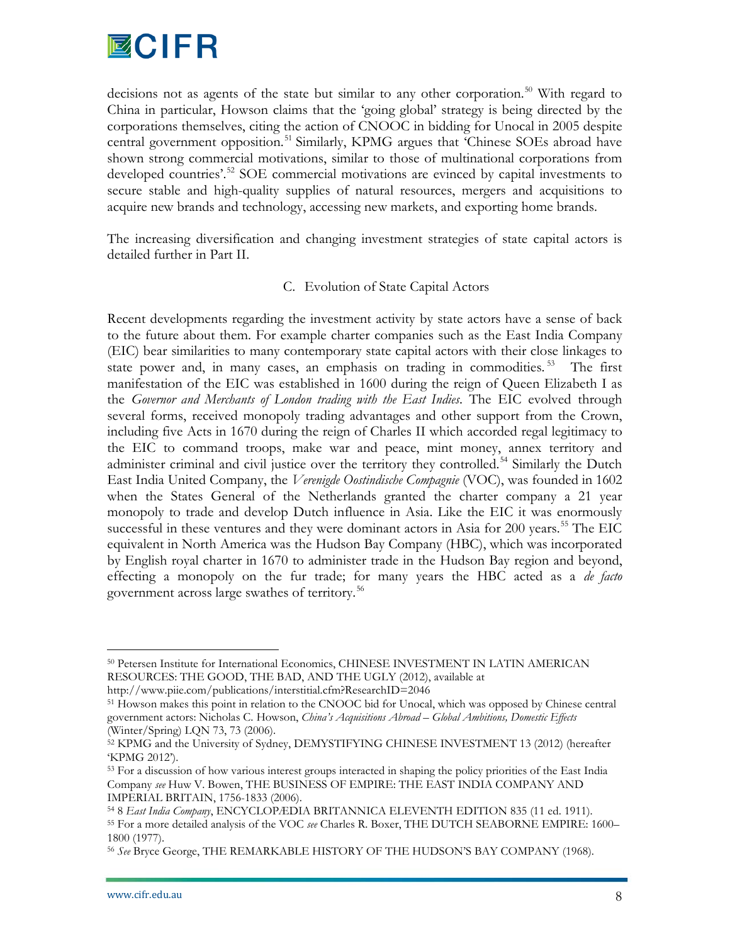

decisions not as agents of the state but similar to any other corporation.<sup>[50](#page-8-0)</sup> With regard to China in particular, Howson claims that the 'going global' strategy is being directed by the corporations themselves, citing the action of CNOOC in bidding for Unocal in 2005 despite central government opposition.<sup>[51](#page-9-0)</sup> Similarly, KPMG argues that 'Chinese SOEs abroad have shown strong commercial motivations, similar to those of multinational corporations from developed countries'.<sup>[52](#page-9-1)</sup> SOE commercial motivations are evinced by capital investments to secure stable and high-quality supplies of natural resources, mergers and acquisitions to acquire new brands and technology, accessing new markets, and exporting home brands.

The increasing diversification and changing investment strategies of state capital actors is detailed further in Part II.

# C. Evolution of State Capital Actors

Recent developments regarding the investment activity by state actors have a sense of back to the future about them. For example charter companies such as the East India Company (EIC) bear similarities to many contemporary state capital actors with their close linkages to state power and, in many cases, an emphasis on trading in commodities.<sup>[53](#page-9-2)</sup> The first manifestation of the EIC was established in 1600 during the reign of Queen Elizabeth I as the *Governor and Merchants of London trading with the East Indies*. The EIC evolved through several forms, received monopoly trading advantages and other support from the Crown, including five Acts in 1670 during the reign of Charles II which accorded regal legitimacy to the EIC to command troops, make war and peace, mint money, annex territory and administer criminal and civil justice over the territory they controlled.<sup>[54](#page-9-3)</sup> Similarly the Dutch East India United Company, the *Verenigde Oostindische Compagnie* (VOC), was founded in 1602 when the States General of the Netherlands granted the charter company a 21 year monopoly to trade and develop Dutch influence in Asia. Like the EIC it was enormously successful in these ventures and they were dominant actors in Asia for 200 years.<sup>[55](#page-9-4)</sup> The EIC equivalent in North America was the Hudson Bay Company (HBC), which was incorporated by English royal charter in 1670 to administer trade in the Hudson Bay region and beyond, effecting a monopoly on the fur trade; for many years the HBC acted as a *de facto* government across large swathes of territory.<sup>[56](#page-9-5)</sup>

 <sup>50</sup> Petersen Institute for International Economics, CHINESE INVESTMENT IN LATIN AMERICAN RESOURCES: THE GOOD, THE BAD, AND THE UGLY (2012), available at

http://www.piie.com/publications/interstitial.cfm?ResearchID=2046

<span id="page-9-0"></span><sup>&</sup>lt;sup>51</sup> Howson makes this point in relation to the CNOOC bid for Unocal, which was opposed by Chinese central government actors: Nicholas C. Howson, *China's Acquisitions Abroad – Global Ambitions, Domestic Effects* (Winter/Spring) LQN 73, 73 (2006).

<span id="page-9-1"></span><sup>52</sup> KPMG and the University of Sydney, DEMYSTIFYING CHINESE INVESTMENT 13 (2012) (hereafter 'KPMG 2012').

<span id="page-9-2"></span><sup>&</sup>lt;sup>53</sup> For a discussion of how various interest groups interacted in shaping the policy priorities of the East India Company *see* Huw V. Bowen, THE BUSINESS OF EMPIRE: THE EAST INDIA COMPANY AND

<span id="page-9-4"></span><span id="page-9-3"></span>IMPERIAL BRITAIN, 1756-1833 (2006).<br><sup>54</sup> 8 *East India Company*, ENCYCLOPÆDIA BRITANNICA ELEVENTH EDITION 835 (11 ed. 1911).<br><sup>55</sup> For a more detailed analysis of the VOC *see* Charles R. Boxer, THE DUTCH SEABORNE EMPIRE: 1 1800 (1977).

<span id="page-9-5"></span><sup>56</sup> *See* Bryce George, THE REMARKABLE HISTORY OF THE HUDSON'S BAY COMPANY (1968).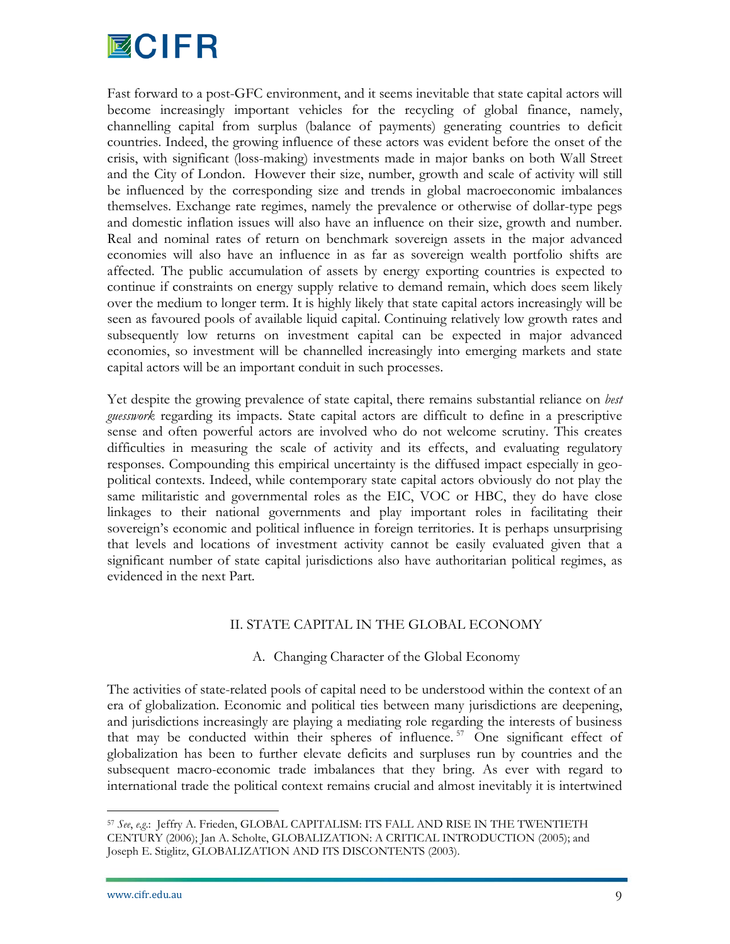

Fast forward to a post-GFC environment, and it seems inevitable that state capital actors will become increasingly important vehicles for the recycling of global finance, namely, channelling capital from surplus (balance of payments) generating countries to deficit countries. Indeed, the growing influence of these actors was evident before the onset of the crisis, with significant (loss-making) investments made in major banks on both Wall Street and the City of London. However their size, number, growth and scale of activity will still be influenced by the corresponding size and trends in global macroeconomic imbalances themselves. Exchange rate regimes, namely the prevalence or otherwise of dollar-type pegs and domestic inflation issues will also have an influence on their size, growth and number. Real and nominal rates of return on benchmark sovereign assets in the major advanced economies will also have an influence in as far as sovereign wealth portfolio shifts are affected. The public accumulation of assets by energy exporting countries is expected to continue if constraints on energy supply relative to demand remain, which does seem likely over the medium to longer term. It is highly likely that state capital actors increasingly will be seen as favoured pools of available liquid capital. Continuing relatively low growth rates and subsequently low returns on investment capital can be expected in major advanced economies, so investment will be channelled increasingly into emerging markets and state capital actors will be an important conduit in such processes.

Yet despite the growing prevalence of state capital, there remains substantial reliance on *best guesswork* regarding its impacts. State capital actors are difficult to define in a prescriptive sense and often powerful actors are involved who do not welcome scrutiny. This creates difficulties in measuring the scale of activity and its effects, and evaluating regulatory responses. Compounding this empirical uncertainty is the diffused impact especially in geopolitical contexts. Indeed, while contemporary state capital actors obviously do not play the same militaristic and governmental roles as the EIC, VOC or HBC, they do have close linkages to their national governments and play important roles in facilitating their sovereign's economic and political influence in foreign territories. It is perhaps unsurprising that levels and locations of investment activity cannot be easily evaluated given that a significant number of state capital jurisdictions also have authoritarian political regimes, as evidenced in the next Part.

#### II. STATE CAPITAL IN THE GLOBAL ECONOMY

# A. Changing Character of the Global Economy

<span id="page-10-0"></span>The activities of state-related pools of capital need to be understood within the context of an era of globalization. Economic and political ties between many jurisdictions are deepening, and jurisdictions increasingly are playing a mediating role regarding the interests of business that may be conducted within their spheres of influence. [57](#page-9-4) One significant effect of globalization has been to further elevate deficits and surpluses run by countries and the subsequent macro-economic trade imbalances that they bring. As ever with regard to international trade the political context remains crucial and almost inevitably it is intertwined

 <sup>57</sup> *See*, *e.g*.: Jeffry A. Frieden, GLOBAL CAPITALISM: ITS FALL AND RISE IN THE TWENTIETH CENTURY (2006); Jan A. Scholte, GLOBALIZATION: A CRITICAL INTRODUCTION (2005); and Joseph E. Stiglitz, GLOBALIZATION AND ITS DISCONTENTS (2003).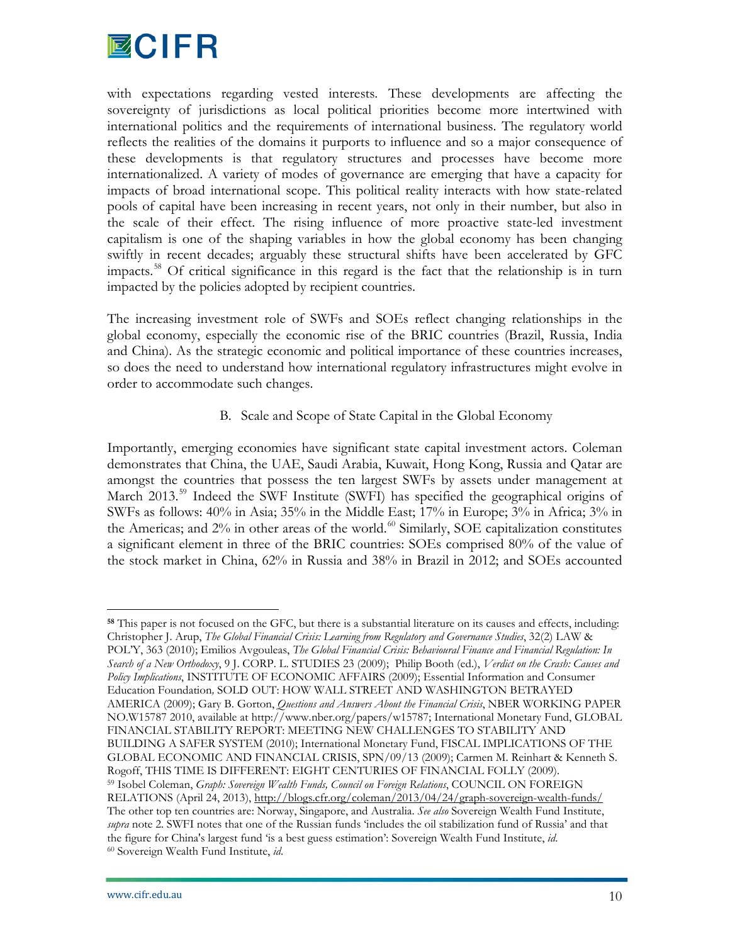

with expectations regarding vested interests. These developments are affecting the sovereignty of jurisdictions as local political priorities become more intertwined with international politics and the requirements of international business. The regulatory world reflects the realities of the domains it purports to influence and so a major consequence of these developments is that regulatory structures and processes have become more internationalized. A variety of modes of governance are emerging that have a capacity for impacts of broad international scope. This political reality interacts with how state-related pools of capital have been increasing in recent years, not only in their number, but also in the scale of their effect. The rising influence of more proactive state-led investment capitalism is one of the shaping variables in how the global economy has been changing swiftly in recent decades; arguably these structural shifts have been accelerated by GFC impacts.[58](#page-10-0) Of critical significance in this regard is the fact that the relationship is in turn impacted by the policies adopted by recipient countries.

The increasing investment role of SWFs and SOEs reflect changing relationships in the global economy, especially the economic rise of the BRIC countries (Brazil, Russia, India and China). As the strategic economic and political importance of these countries increases, so does the need to understand how international regulatory infrastructures might evolve in order to accommodate such changes.

B. Scale and Scope of State Capital in the Global Economy

Importantly, emerging economies have significant state capital investment actors. Coleman demonstrates that China, the UAE, Saudi Arabia, Kuwait, Hong Kong, Russia and Qatar are amongst the countries that possess the ten largest SWFs by assets under management at March 2013.<sup>[59](#page-11-0)</sup> Indeed the SWF Institute (SWFI) has specified the geographical origins of SWFs as follows: 40% in Asia; 35% in the Middle East; 17% in Europe; 3% in Africa; 3% in the Americas; and 2% in other areas of the world.<sup>[60](#page-11-1)</sup> Similarly, SOE capitalization constitutes a significant element in three of the BRIC countries: SOEs comprised 80% of the value of the stock market in China, 62% in Russia and 38% in Brazil in 2012; and SOEs accounted

<span id="page-11-2"></span><span id="page-11-1"></span><span id="page-11-0"></span>**<sup>58</sup>** This paper is not focused on the GFC, but there is a substantial literature on its causes and effects, including: Christopher J. Arup, *The Global Financial Crisis: Learning from Regulatory and Governance Studies*, 32(2) LAW & POL'Y, 363 (2010); Emilios Avgouleas, *The Global Financial Crisis: Behavioural Finance and Financial Regulation: In Search of a New Orthodoxy*, 9 J. CORP. L. STUDIES 23 (2009); Philip Booth (ed.), *Verdict on the Crash: Causes and Policy Implications*, INSTITUTE OF ECONOMIC AFFAIRS (2009); Essential Information and Consumer Education Foundation*,* SOLD OUT: HOW WALL STREET AND WASHINGTON BETRAYED AMERICA (2009); Gary B. Gorton, *Questions and Answers About the Financial Crisis*, NBER WORKING PAPER NO.W15787 2010, available at http://www.nber.org/papers/w15787; International Monetary Fund, GLOBAL FINANCIAL STABILITY REPORT: MEETING NEW CHALLENGES TO STABILITY AND BUILDING A SAFER SYSTEM (2010); International Monetary Fund, FISCAL IMPLICATIONS OF THE GLOBAL ECONOMIC AND FINANCIAL CRISIS, SPN/09/13 (2009); Carmen M. Reinhart & Kenneth S. Rogoff, THIS TIME IS DIFFERENT: EIGHT CENTURIES OF FINANCIAL FOLLY (2009). <sup>59</sup> Isobel Coleman, *Graph: Sovereign Wealth Funds, Council on Foreign Relations*, COUNCIL ON FOREIGN RELATIONS (April 24, 2013),<http://blogs.cfr.org/coleman/2013/04/24/graph-sovereign-wealth-funds/> The other top ten countries are: Norway, Singapore, and Australia. *See also* Sovereign Wealth Fund Institute, *supra* note 2. SWFI notes that one of the Russian funds 'includes the oil stabilization fund of Russia' and that the figure for China's largest fund 'is a best guess estimation': Sovereign Wealth Fund Institute, *id*. <sup>60</sup> Sovereign Wealth Fund Institute, *id*.

 $\overline{a}$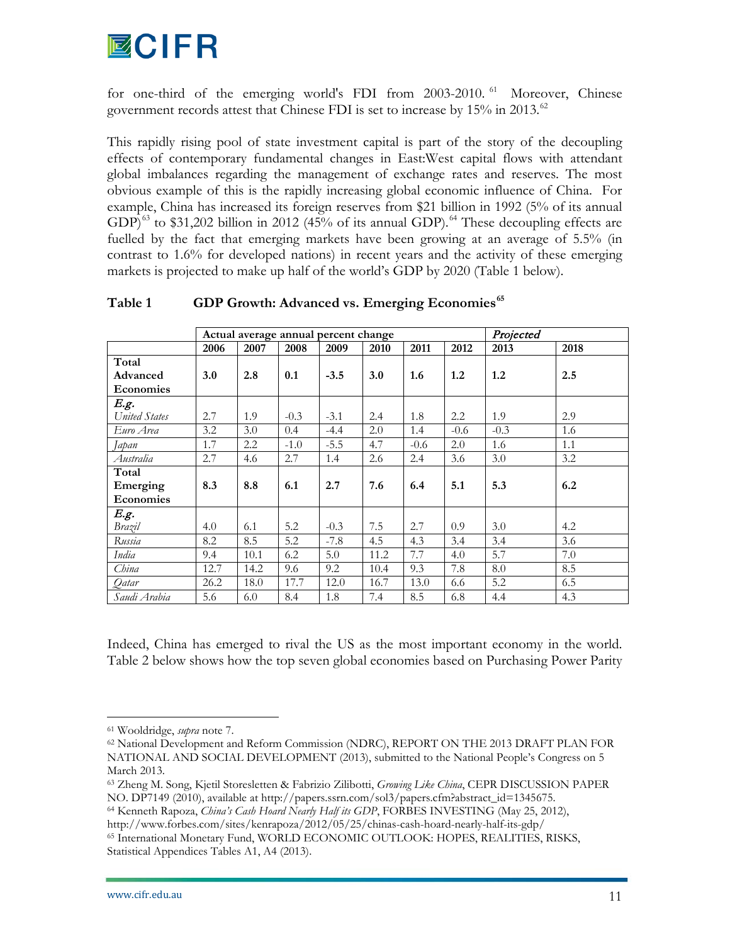

for one-third of the emerging world's FDI from 2003-2010. [61](#page-11-2) Moreover, Chinese government records attest that Chinese FDI is set to increase by  $15\%$  in 2013.<sup>[62](#page-12-0)</sup>

This rapidly rising pool of state investment capital is part of the story of the decoupling effects of contemporary fundamental changes in East:West capital flows with attendant global imbalances regarding the management of exchange rates and reserves. The most obvious example of this is the rapidly increasing global economic influence of China. For example, China has increased its foreign reserves from \$21 billion in 1992 (5% of its annual GDP)<sup>[63](#page-12-1)</sup> to \$31,202 billion in 2012 (45% of its annual GDP).<sup>[64](#page-12-2)</sup> These decoupling effects are fuelled by the fact that emerging markets have been growing at an average of 5.5% (in contrast to 1.6% for developed nations) in recent years and the activity of these emerging markets is projected to make up half of the world's GDP by 2020 (Table 1 below).

|                  | Actual average annual percent change |      |        |        |      | Projected |        |        |      |
|------------------|--------------------------------------|------|--------|--------|------|-----------|--------|--------|------|
|                  | 2006                                 | 2007 | 2008   | 2009   | 2010 | 2011      | 2012   | 2013   | 2018 |
| Total            |                                      |      |        |        |      |           |        |        |      |
| Advanced         | 3.0                                  | 2.8  | 0.1    | $-3.5$ | 3.0  | 1.6       | 1.2    | 1.2    | 2.5  |
| Economies        |                                      |      |        |        |      |           |        |        |      |
| E.g.             |                                      |      |        |        |      |           |        |        |      |
| United States    | 2.7                                  | 1.9  | $-0.3$ | $-3.1$ | 2.4  | 1.8       | 2.2    | 1.9    | 2.9  |
| Euro Area        | 3.2                                  | 3.0  | 0.4    | $-4.4$ | 2.0  | 1.4       | $-0.6$ | $-0.3$ | 1.6  |
| Japan            | 1.7                                  | 2.2  | $-1.0$ | $-5.5$ | 4.7  | $-0.6$    | 2.0    | 1.6    | 1.1  |
| Australia        | 2.7                                  | 4.6  | 2.7    | 1.4    | 2.6  | 2.4       | 3.6    | 3.0    | 3.2  |
| Total            |                                      |      |        |        |      |           |        |        |      |
| Emerging         | 8.3                                  | 8.8  | 6.1    | 2.7    | 7.6  | 6.4       | 5.1    | 5.3    | 6.2  |
| <b>Economies</b> |                                      |      |        |        |      |           |        |        |      |
| E.g.             |                                      |      |        |        |      |           |        |        |      |
| Brazil           | 4.0                                  | 6.1  | 5.2    | $-0.3$ | 7.5  | 2.7       | 0.9    | 3.0    | 4.2  |
| Russia           | 8.2                                  | 8.5  | 5.2    | $-7.8$ | 4.5  | 4.3       | 3.4    | 3.4    | 3.6  |
| India            | 9.4                                  | 10.1 | 6.2    | 5.0    | 11.2 | 7.7       | 4.0    | 5.7    | 7.0  |
| China            | 12.7                                 | 14.2 | 9.6    | 9.2    | 10.4 | 9.3       | 7.8    | 8.0    | 8.5  |
| Qatar            | 26.2                                 | 18.0 | 17.7   | 12.0   | 16.7 | 13.0      | 6.6    | 5.2    | 6.5  |
| Saudi Arabia     | 5.6                                  | 6.0  | 8.4    | 1.8    | 7.4  | 8.5       | 6.8    | 4.4    | 4.3  |

## **Table 1 GDP Growth: Advanced vs. Emerging Economies[65](#page-12-3)**

Indeed, China has emerged to rival the US as the most important economy in the world. Table 2 below shows how the top seven global economies based on Purchasing Power Parity

 <sup>61</sup> Wooldridge, *supra* note 7.

<span id="page-12-4"></span><span id="page-12-0"></span><sup>62</sup> National Development and Reform Commission (NDRC), REPORT ON THE 2013 DRAFT PLAN FOR NATIONAL AND SOCIAL DEVELOPMENT (2013), submitted to the National People's Congress on 5 March 2013.

<span id="page-12-1"></span><sup>63</sup> Zheng M. Song, Kjetil Storesletten & Fabrizio Zilibotti, *Growing Like China*, CEPR DISCUSSION PAPER NO. DP7149 (2010), available at http://papers.ssrn.com/sol3/papers.cfm?abstract\_id=1345675.

<span id="page-12-2"></span><sup>64</sup> Kenneth Rapoza, *China's Cash Hoard Nearly Half its GDP*, FORBES INVESTING (May 25, 2012), http://www.forbes.com/sites/kenrapoza/2012/05/25/chinas-cash-hoard-nearly-half-its-gdp/

<span id="page-12-3"></span><sup>65</sup> International Monetary Fund, WORLD ECONOMIC OUTLOOK: HOPES, REALITIES, RISKS, Statistical Appendices Tables A1, A4 (2013).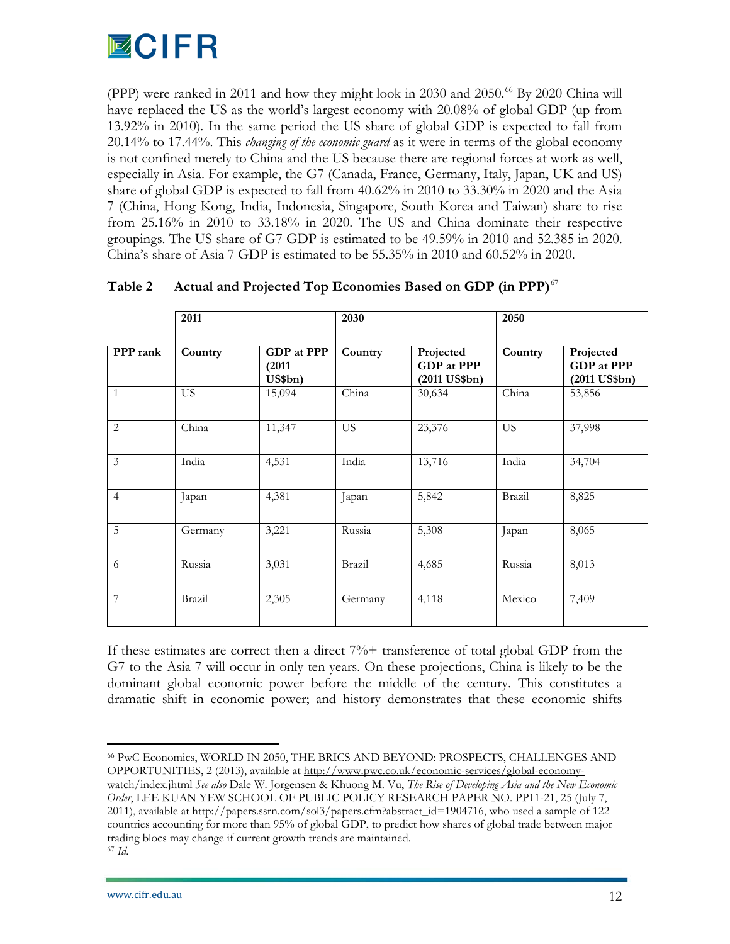

(PPP) were ranked in 2011 and how they might look in 2030 and 2050.<sup>[66](#page-12-4)</sup> By 2020 China will have replaced the US as the world's largest economy with 20.08% of global GDP (up from 13.92% in 2010). In the same period the US share of global GDP is expected to fall from 20.14% to 17.44%. This *changing of the economic guard* as it were in terms of the global economy is not confined merely to China and the US because there are regional forces at work as well, especially in Asia. For example, the G7 (Canada, France, Germany, Italy, Japan, UK and US) share of global GDP is expected to fall from 40.62% in 2010 to 33.30% in 2020 and the Asia 7 (China, Hong Kong, India, Indonesia, Singapore, South Korea and Taiwan) share to rise from 25.16% in 2010 to 33.18% in 2020. The US and China dominate their respective groupings. The US share of G7 GDP is estimated to be 49.59% in 2010 and 52.385 in 2020. China's share of Asia 7 GDP is estimated to be 55.35% in 2010 and 60.52% in 2020.

|                | 2011      |                                        | 2030      |                                                   | 2050      |                                            |
|----------------|-----------|----------------------------------------|-----------|---------------------------------------------------|-----------|--------------------------------------------|
| PPP rank       | Country   | <b>GDP</b> at PPP<br>(2011)<br>US\$bn) | Country   | Projected<br><b>GDP</b> at PPP<br>$(2011$ US\$bn) | Country   | Projected<br>GDP at PPP<br>$(2011$ US\$bn) |
| $\mathbf{1}$   | <b>US</b> | 15,094                                 | China     | 30,634                                            | China     | 53,856                                     |
| $\overline{2}$ | China     | 11,347                                 | <b>US</b> | 23,376                                            | <b>US</b> | 37,998                                     |
| 3              | India     | 4,531                                  | India     | 13,716                                            | India     | 34,704                                     |
| $\overline{4}$ | Japan     | 4,381                                  | Japan     | 5,842                                             | Brazil    | 8,825                                      |
| 5              | Germany   | 3,221                                  | Russia    | 5,308                                             | Japan     | 8,065                                      |
| 6              | Russia    | 3,031                                  | Brazil    | 4,685                                             | Russia    | 8,013                                      |
| 7              | Brazil    | 2,305                                  | Germany   | 4,118                                             | Mexico    | 7,409                                      |

# **Table 2 Actual and Projected Top Economies Based on GDP (in PPP)**[67](#page-13-0)

If these estimates are correct then a direct 7%+ transference of total global GDP from the G7 to the Asia 7 will occur in only ten years. On these projections, China is likely to be the dominant global economic power before the middle of the century. This constitutes a dramatic shift in economic power; and history demonstrates that these economic shifts

<span id="page-13-1"></span><span id="page-13-0"></span> 66 PwC Economics, WORLD IN 2050, THE BRICS AND BEYOND: PROSPECTS, CHALLENGES AND OPPORTUNITIES, 2 (2013), available at [http://www.pwc.co.uk/economic-services/global-economy](http://www.pwc.co.uk/economic-services/global-economy-watch/index.jhtml)[watch/index.jhtml](http://www.pwc.co.uk/economic-services/global-economy-watch/index.jhtml) *See also* Dale W. Jorgensen & Khuong M. Vu, *The Rise of Developing Asia and the New Economic Order*, LEE KUAN YEW SCHOOL OF PUBLIC POLICY RESEARCH PAPER NO. PP11-21, 25 (July 7, 2011), available at [http://papers.ssrn.com/sol3/papers.cfm?abstract\\_id=1904716,](http://papers.ssrn.com/sol3/papers.cfm?abstract_id=1904716) who used a sample of 122 countries accounting for more than 95% of global GDP, to predict how shares of global trade between major trading blocs may change if current growth trends are maintained. <sup>67</sup> *Id*.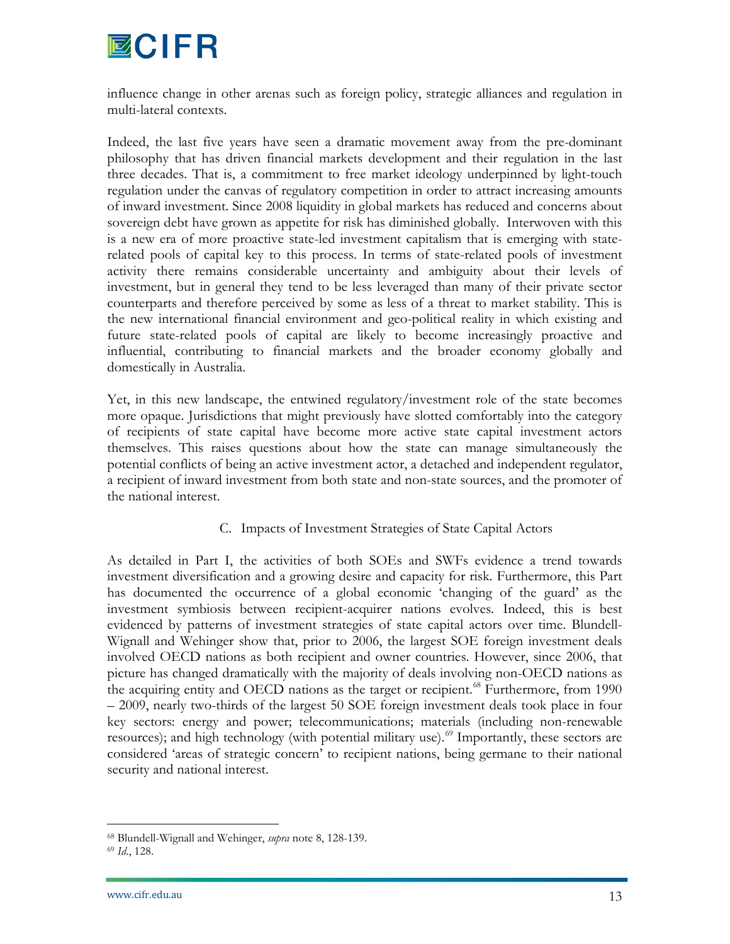# **MCIFR**

influence change in other arenas such as foreign policy, strategic alliances and regulation in multi-lateral contexts.

Indeed, the last five years have seen a dramatic movement away from the pre-dominant philosophy that has driven financial markets development and their regulation in the last three decades. That is, a commitment to free market ideology underpinned by light-touch regulation under the canvas of regulatory competition in order to attract increasing amounts of inward investment. Since 2008 liquidity in global markets has reduced and concerns about sovereign debt have grown as appetite for risk has diminished globally. Interwoven with this is a new era of more proactive state-led investment capitalism that is emerging with staterelated pools of capital key to this process. In terms of state-related pools of investment activity there remains considerable uncertainty and ambiguity about their levels of investment, but in general they tend to be less leveraged than many of their private sector counterparts and therefore perceived by some as less of a threat to market stability. This is the new international financial environment and geo-political reality in which existing and future state-related pools of capital are likely to become increasingly proactive and influential, contributing to financial markets and the broader economy globally and domestically in Australia.

Yet, in this new landscape, the entwined regulatory/investment role of the state becomes more opaque. Jurisdictions that might previously have slotted comfortably into the category of recipients of state capital have become more active state capital investment actors themselves. This raises questions about how the state can manage simultaneously the potential conflicts of being an active investment actor, a detached and independent regulator, a recipient of inward investment from both state and non-state sources, and the promoter of the national interest.

# C. Impacts of Investment Strategies of State Capital Actors

<span id="page-14-1"></span>As detailed in Part I, the activities of both SOEs and SWFs evidence a trend towards investment diversification and a growing desire and capacity for risk. Furthermore, this Part has documented the occurrence of a global economic 'changing of the guard' as the investment symbiosis between recipient-acquirer nations evolves. Indeed, this is best evidenced by patterns of investment strategies of state capital actors over time. Blundell-Wignall and Wehinger show that, prior to 2006, the largest SOE foreign investment deals involved OECD nations as both recipient and owner countries. However, since 2006, that picture has changed dramatically with the majority of deals involving non-OECD nations as the acquiring entity and OECD nations as the target or recipient.<sup>[68](#page-13-1)</sup> Furthermore, from 1990 – 2009, nearly two-thirds of the largest 50 SOE foreign investment deals took place in four key sectors: energy and power; telecommunications; materials (including non-renewable resources); and high technology (with potential military use).<sup>[69](#page-14-0)</sup> Importantly, these sectors are considered 'areas of strategic concern' to recipient nations, being germane to their national security and national interest.

 <sup>68</sup> Blundell-Wignall and Wehinger, *supra* note 8, 128-139.

<span id="page-14-0"></span><sup>69</sup> *Id*., 128.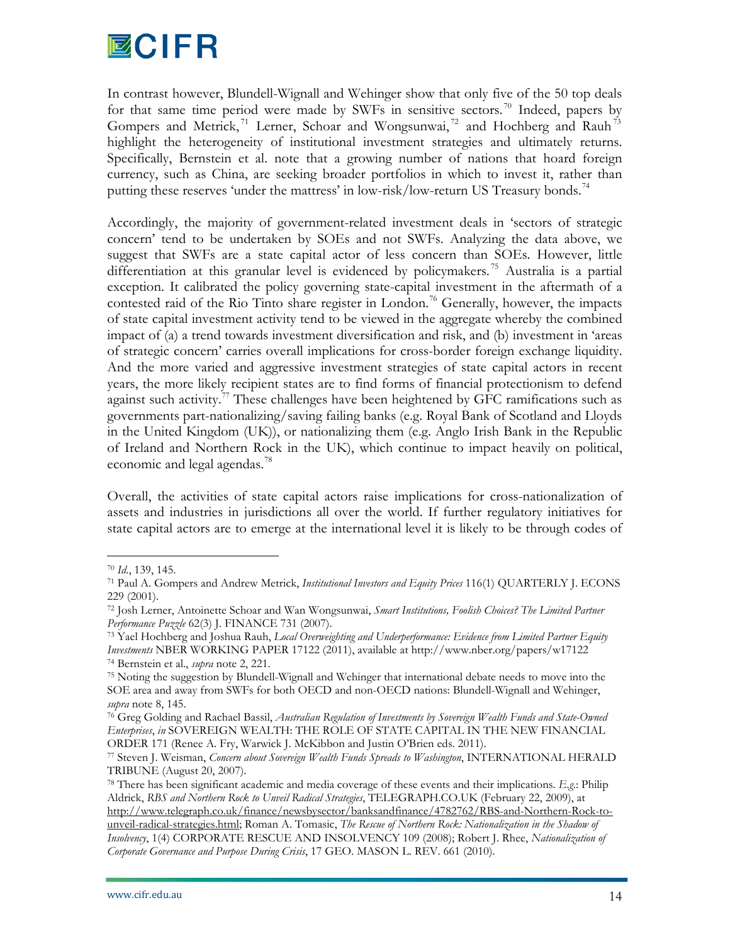

In contrast however, Blundell-Wignall and Wehinger show that only five of the 50 top deals for that same time period were made by SWFs in sensitive sectors.<sup>[70](#page-14-1)</sup> Indeed, papers by Gompers and Metrick,<sup>[71](#page-15-0)</sup> Lerner, Schoar and Wongsunwai,<sup>[72](#page-15-1)</sup> and Hochberg and Rauh<sup>[73](#page-15-2)</sup> highlight the heterogeneity of institutional investment strategies and ultimately returns. Specifically, Bernstein et al. note that a growing number of nations that hoard foreign currency, such as China, are seeking broader portfolios in which to invest it, rather than putting these reserves 'under the mattress' in low-risk/low-return US Treasury bonds.<sup>[74](#page-15-3)</sup>

Accordingly, the majority of government-related investment deals in 'sectors of strategic concern' tend to be undertaken by SOEs and not SWFs. Analyzing the data above, we suggest that SWFs are a state capital actor of less concern than SOEs. However, little differentiation at this granular level is evidenced by policymakers. [75](#page-15-4) Australia is a partial exception. It calibrated the policy governing state-capital investment in the aftermath of a contested raid of the Rio Tinto share register in London. [76](#page-15-5) Generally, however, the impacts of state capital investment activity tend to be viewed in the aggregate whereby the combined impact of (a) a trend towards investment diversification and risk, and (b) investment in 'areas of strategic concern' carries overall implications for cross-border foreign exchange liquidity. And the more varied and aggressive investment strategies of state capital actors in recent years, the more likely recipient states are to find forms of financial protectionism to defend against such activity.<sup>[77](#page-15-6)</sup> These challenges have been heightened by GFC ramifications such as governments part-nationalizing/saving failing banks (e.g. Royal Bank of Scotland and Lloyds in the United Kingdom (UK)), or nationalizing them (e.g. Anglo Irish Bank in the Republic of Ireland and Northern Rock in the UK), which continue to impact heavily on political, economic and legal agendas.<sup>[78](#page-15-7)</sup>

Overall, the activities of state capital actors raise implications for cross-nationalization of assets and industries in jurisdictions all over the world. If further regulatory initiatives for state capital actors are to emerge at the international level it is likely to be through codes of

 <sup>70</sup> *Id*., 139, 145.

<span id="page-15-0"></span><sup>71</sup> Paul A. Gompers and Andrew Metrick, *Institutional Investors and Equity Prices* 116(1) QUARTERLY J. ECONS 229 (2001).

<span id="page-15-1"></span><sup>72</sup> Josh Lerner, Antoinette Schoar and Wan Wongsunwai, *Smart Institutions, Foolish Choices? The Limited Partner Performance Puzzle* 62(3) J. FINANCE 731 (2007).

<span id="page-15-8"></span><span id="page-15-2"></span><sup>73</sup> Yael Hochberg and Joshua Rauh, *Local Overweighting and Underperformance: Evidence from Limited Partner Equity Investments* NBER WORKING PAPER 17122 (2011), available at http://www.nber.org/papers/w17122 74 Bernstein et al., *supra* note 2, 221.

<span id="page-15-4"></span><span id="page-15-3"></span><sup>75</sup> Noting the suggestion by Blundell-Wignall and Wehinger that international debate needs to move into the SOE area and away from SWFs for both OECD and non-OECD nations: Blundell-Wignall and Wehinger, *supra* note 8, 145.

<span id="page-15-5"></span><sup>76</sup> Greg Golding and Rachael Bassil, *Australian Regulation of Investments by Sovereign Wealth Funds and State-Owned Enterprises*, *in* SOVEREIGN WEALTH: THE ROLE OF STATE CAPITAL IN THE NEW FINANCIAL ORDER 171 (Renee A. Fry, Warwick J. McKibbon and Justin O'Brien eds. 2011).

<span id="page-15-6"></span><sup>77</sup> Steven J. Weisman, *Concern about Sovereign Wealth Funds Spreads to Washington*, INTERNATIONAL HERALD TRIBUNE (August 20, 2007).

<span id="page-15-7"></span><sup>78</sup> There has been significant academic and media coverage of these events and their implications. *E.g*.: Philip Aldrick, *RBS and Northern Rock to Unveil Radical Strategies*, TELEGRAPH.CO.UK (February 22, 2009), at [http://www.telegraph.co.uk/finance/newsbysector/banksandfinance/4782762/RBS-and-Northern-Rock-to-](http://www.telegraph.co.uk/finance/newsbysector/banksandfinance/4782762/RBS-and-Northern-Rock-to-unveil-radical-strategies.html)

[unveil-radical-strategies.html;](http://www.telegraph.co.uk/finance/newsbysector/banksandfinance/4782762/RBS-and-Northern-Rock-to-unveil-radical-strategies.html) Roman A. Tomasic, *The Rescue of Northern Rock: Nationalization in the Shadow of Insolvency*, 1(4) CORPORATE RESCUE AND INSOLVENCY 109 (2008); Robert J. Rhee, *Nationalization of Corporate Governance and Purpose During Crisis*, 17 GEO. MASON L. REV. 661 (2010).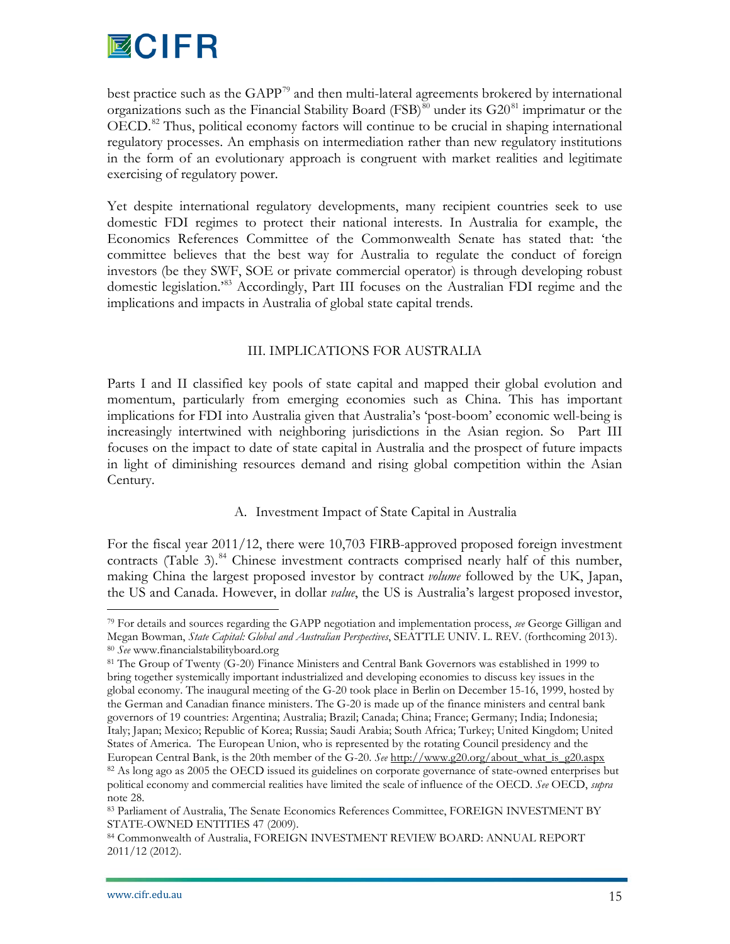

best practice such as the GAPP<sup>[79](#page-15-8)</sup> and then multi-lateral agreements brokered by international organizations such as the Financial Stability Board (FSB)<sup>[80](#page-16-0)</sup> under its  $G20^{81}$  $G20^{81}$  $G20^{81}$  imprimatur or the OECD.<sup>[82](#page-16-2)</sup> Thus, political economy factors will continue to be crucial in shaping international regulatory processes. An emphasis on intermediation rather than new regulatory institutions in the form of an evolutionary approach is congruent with market realities and legitimate exercising of regulatory power.

Yet despite international regulatory developments, many recipient countries seek to use domestic FDI regimes to protect their national interests. In Australia for example, the Economics References Committee of the Commonwealth Senate has stated that: 'the committee believes that the best way for Australia to regulate the conduct of foreign investors (be they SWF, SOE or private commercial operator) is through developing robust domestic legislation.'[83](#page-16-3) Accordingly, Part III focuses on the Australian FDI regime and the implications and impacts in Australia of global state capital trends.

# III. IMPLICATIONS FOR AUSTRALIA

Parts I and II classified key pools of state capital and mapped their global evolution and momentum, particularly from emerging economies such as China. This has important implications for FDI into Australia given that Australia's 'post-boom' economic well-being is increasingly intertwined with neighboring jurisdictions in the Asian region. So Part III focuses on the impact to date of state capital in Australia and the prospect of future impacts in light of diminishing resources demand and rising global competition within the Asian Century.

#### A. Investment Impact of State Capital in Australia

For the fiscal year 2011/12, there were 10,703 FIRB-approved proposed foreign investment contracts (Table 3). $84$  Chinese investment contracts comprised nearly half of this number, making China the largest proposed investor by contract *volume* followed by the UK, Japan, the US and Canada. However, in dollar *value*, the US is Australia's largest proposed investor,

 <sup>79</sup> For details and sources regarding the GAPP negotiation and implementation process, *see* George Gilligan and Megan Bowman, *State Capital: Global and Australian Perspectives*, SEATTLE UNIV. L. REV. (forthcoming 2013). <sup>80</sup> *See* www.financialstabilityboard.org

<span id="page-16-5"></span><span id="page-16-1"></span><span id="page-16-0"></span><sup>81</sup> The Group of Twenty (G-20) Finance Ministers and Central Bank Governors was established in 1999 to bring together systemically important industrialized and developing economies to discuss key issues in the global economy. The inaugural meeting of the G-20 took place in Berlin on December 15-16, 1999, hosted by the German and Canadian finance ministers. The G-20 is made up of the finance ministers and central bank governors of 19 countries: Argentina; Australia; Brazil; Canada; China; France; Germany; India; Indonesia; Italy; Japan; Mexico; Republic of Korea; Russia; Saudi Arabia; South Africa; Turkey; United Kingdom; United States of America. The European Union, who is represented by the rotating Council presidency and the European Central Bank, is the 20th member of the G-20. *See* [http://www.g20.org/about\\_what\\_is\\_g20.aspx](http://www.g20.org/about_what_is_g20.aspx) <sup>82</sup> As long ago as 2005 the OECD issued its guidelines on corporate governance of state-owned enterprises but political economy and commercial realities have limited the scale of influence of the OECD. *See* OECD, *supra* note 28.

<span id="page-16-3"></span><span id="page-16-2"></span><sup>83</sup> Parliament of Australia, The Senate Economics References Committee, FOREIGN INVESTMENT BY STATE-OWNED ENTITIES 47 (2009).

<span id="page-16-4"></span><sup>84</sup> Commonwealth of Australia, FOREIGN INVESTMENT REVIEW BOARD: ANNUAL REPORT 2011/12 (2012).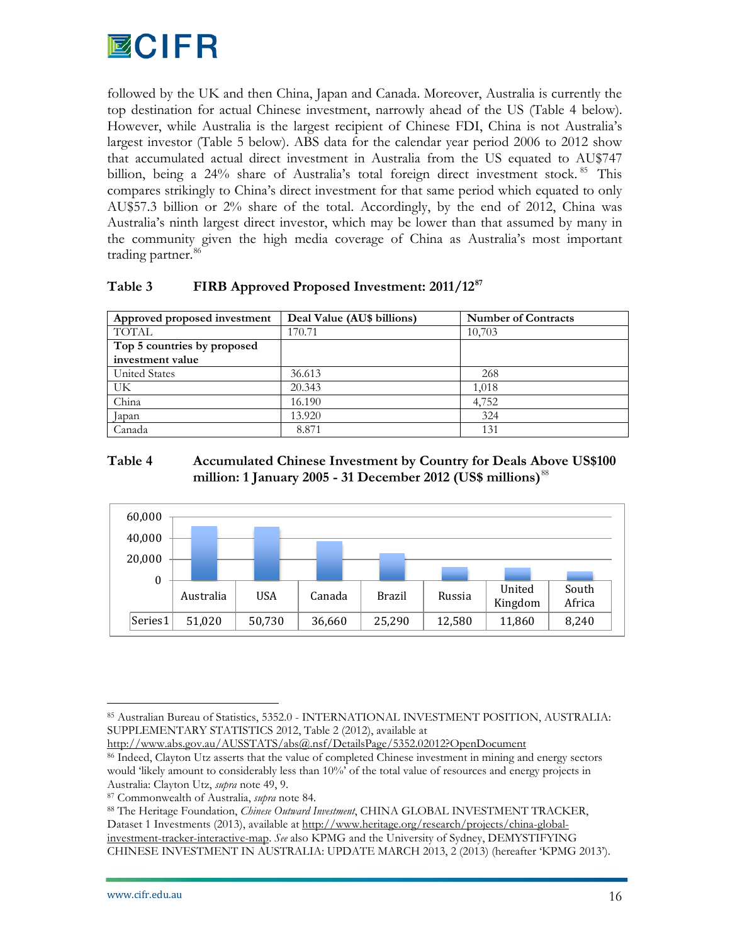

followed by the UK and then China, Japan and Canada. Moreover, Australia is currently the top destination for actual Chinese investment, narrowly ahead of the US (Table 4 below). However, while Australia is the largest recipient of Chinese FDI, China is not Australia's largest investor (Table 5 below). ABS data for the calendar year period 2006 to 2012 show that accumulated actual direct investment in Australia from the US equated to AU\$747 billion, being a 24% share of Australia's total foreign direct investment stock. <sup>[85](#page-16-5)</sup> This compares strikingly to China's direct investment for that same period which equated to only AU\$57.3 billion or 2% share of the total. Accordingly, by the end of 2012, China was Australia's ninth largest direct investor, which may be lower than that assumed by many in the community given the high media coverage of China as Australia's most important trading partner.<sup>[86](#page-17-0)</sup>

# **Table 3 FIRB Approved Proposed Investment: 2011/12[87](#page-17-1)**

| Approved proposed investment | Deal Value (AU\$ billions) | <b>Number of Contracts</b> |
|------------------------------|----------------------------|----------------------------|
| <b>TOTAL</b>                 | 170.71                     | 10,703                     |
| Top 5 countries by proposed  |                            |                            |
| investment value             |                            |                            |
| <b>United States</b>         | 36.613                     | 268                        |
| UK                           | 20.343                     | 1,018                      |
| China                        | 16.190                     | 4,752                      |
| Japan                        | 13.920                     | 324                        |
| Canada                       | 8.871                      | 131                        |

# **Table 4 Accumulated Chinese Investment by Country for Deals Above US\$100 million: 1 January 2005 - 31 December 2012 (US\$ millions)**[88](#page-17-2)



<http://www.abs.gov.au/AUSSTATS/abs@.nsf/DetailsPage/5352.02012?OpenDocument>

 <sup>85</sup> Australian Bureau of Statistics, 5352.0 - INTERNATIONAL INVESTMENT POSITION, AUSTRALIA: SUPPLEMENTARY STATISTICS 2012, Table 2 (2012), available at

<span id="page-17-0"></span><sup>86</sup> Indeed, Clayton Utz asserts that the value of completed Chinese investment in mining and energy sectors would 'likely amount to considerably less than 10%' of the total value of resources and energy projects in Australia: Clayton Utz, *supra* note 49, 9.

<sup>87</sup> Commonwealth of Australia, *supra* note 84.

<span id="page-17-3"></span><span id="page-17-2"></span><span id="page-17-1"></span><sup>88</sup> The Heritage Foundation, *Chinese Outward Investment*, CHINA GLOBAL INVESTMENT TRACKER, Dataset 1 Investments (2013), available a[t http://www.heritage.org/research/projects/china-global](http://www.heritage.org/research/projects/china-global-investment-tracker-interactive-map)[investment-tracker-interactive-map.](http://www.heritage.org/research/projects/china-global-investment-tracker-interactive-map) *See* also KPMG and the University of Sydney, DEMYSTIFYING CHINESE INVESTMENT IN AUSTRALIA: UPDATE MARCH 2013, 2 (2013) (hereafter 'KPMG 2013').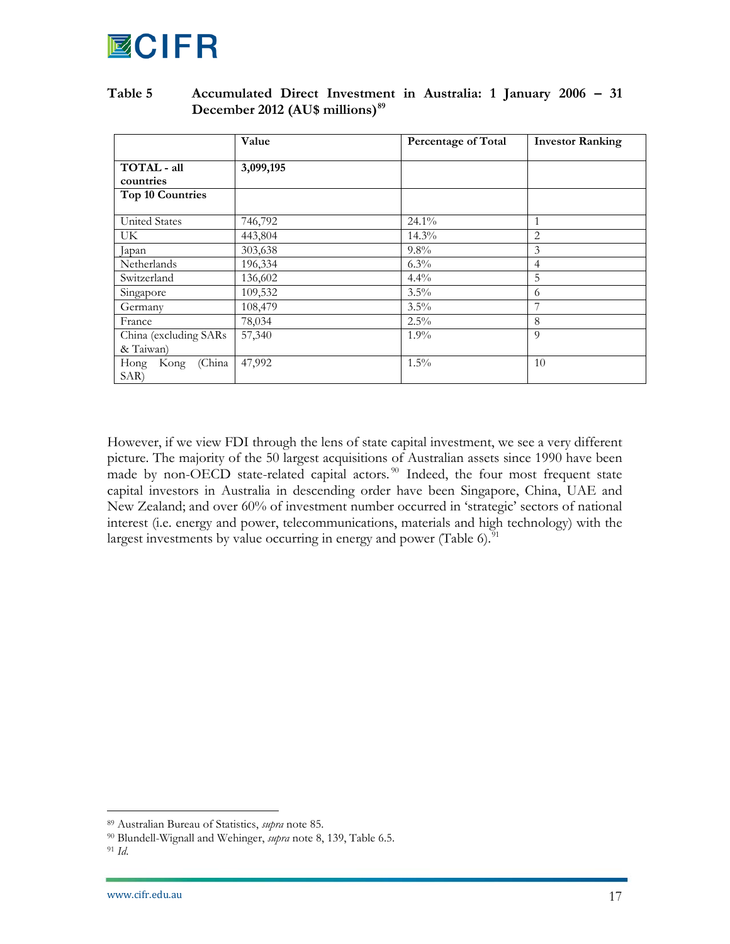

### **Table 5 Accumulated Direct Investment in Australia: 1 January 2006 – 31 December 2012 (AU\$ millions)[89](#page-17-3)**

|                         | Value     | Percentage of Total | <b>Investor Ranking</b> |
|-------------------------|-----------|---------------------|-------------------------|
|                         |           |                     |                         |
| TOTAL - all             | 3,099,195 |                     |                         |
| countries               |           |                     |                         |
| <b>Top 10 Countries</b> |           |                     |                         |
|                         |           |                     |                         |
| <b>United States</b>    | 746,792   | 24.1%               | 1                       |
| UK.                     | 443,804   | 14.3%               | $\overline{2}$          |
| Japan                   | 303,638   | 9.8%                | 3                       |
| Netherlands             | 196,334   | $6.3\%$             | 4                       |
| Switzerland             | 136,602   | $4.4\%$             | 5                       |
| Singapore               | 109,532   | $3.5\%$             | 6                       |
| Germany                 | 108,479   | $3.5\%$             | 7                       |
| France                  | 78,034    | $2.5\%$             | 8                       |
| China (excluding SARs   | 57,340    | $1.9\%$             | 9                       |
| & Taiwan)               |           |                     |                         |
| (China<br>Hong<br>Kong  | 47,992    | $1.5\%$             | 10                      |
| SAR)                    |           |                     |                         |

However, if we view FDI through the lens of state capital investment, we see a very different picture. The majority of the 50 largest acquisitions of Australian assets since 1990 have been made by non-OECD state-related capital actors.<sup>[90](#page-18-0)</sup> Indeed, the four most frequent state capital investors in Australia in descending order have been Singapore, China, UAE and New Zealand; and over 60% of investment number occurred in 'strategic' sectors of national interest (i.e. energy and power, telecommunications, materials and high technology) with the largest investments by value occurring in energy and power (Table 6).<sup> $91$ </sup>

<span id="page-18-2"></span> <sup>89</sup> Australian Bureau of Statistics, *supra* note 85.

<span id="page-18-0"></span><sup>90</sup> Blundell-Wignall and Wehinger, *supra* note 8, 139, Table 6.5.

<span id="page-18-1"></span><sup>91</sup> *Id*.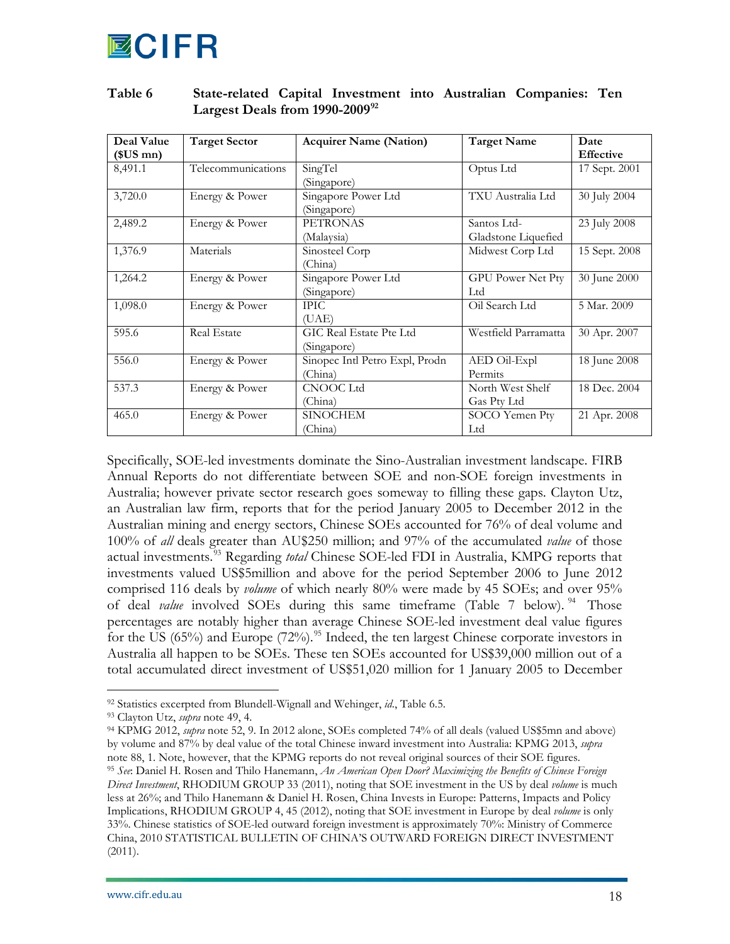

| Deal Value<br>$$US \, mn$$ | <b>Target Sector</b> | <b>Acquirer Name (Nation)</b>             | <b>Target Name</b>                 | Date<br><b>Effective</b> |
|----------------------------|----------------------|-------------------------------------------|------------------------------------|--------------------------|
| 8,491.1                    | Telecommunications   | SingTel<br>(Singapore)                    | Optus Ltd                          | 17 Sept. 2001            |
| 3,720.0                    | Energy & Power       | Singapore Power Ltd<br>(Singapore)        | TXU Australia Ltd                  | 30 July 2004             |
| 2,489.2                    | Energy & Power       | <b>PETRONAS</b><br>(Malaysia)             | Santos Ltd-<br>Gladstone Liquefied | 23 July 2008             |
| 1,376.9                    | Materials            | Sinosteel Corp<br>(China)                 | Midwest Corp Ltd                   | 15 Sept. 2008            |
| 1,264.2                    | Energy & Power       | Singapore Power Ltd<br>(Singapore)        | <b>GPU Power Net Pty</b><br>Ltd    | 30 June 2000             |
| 1,098.0                    | Energy & Power       | <b>IPIC</b><br>(UAE)                      | Oil Search Ltd                     | 5 Mar. 2009              |
| 595.6                      | <b>Real Estate</b>   | GIC Real Estate Pte Ltd<br>(Singapore)    | Westfield Parramatta               | 30 Apr. 2007             |
| 556.0                      | Energy & Power       | Sinopec Intl Petro Expl, Prodn<br>(China) | AED Oil-Expl<br>Permits            | 18 June 2008             |
| 537.3                      | Energy & Power       | <b>CNOOC</b> Ltd<br>(China)               | North West Shelf<br>Gas Pty Ltd    | 18 Dec. 2004             |
| 465.0                      | Energy & Power       | <b>SINOCHEM</b><br>(China)                | SOCO Yemen Pty<br>Ltd              | 21 Apr. 2008             |

## **Table 6 State-related Capital Investment into Australian Companies: Ten Largest Deals from 1990-2009[92](#page-18-2)**

Specifically, SOE-led investments dominate the Sino-Australian investment landscape. FIRB Annual Reports do not differentiate between SOE and non-SOE foreign investments in Australia; however private sector research goes someway to filling these gaps. Clayton Utz, an Australian law firm, reports that for the period January 2005 to December 2012 in the Australian mining and energy sectors, Chinese SOEs accounted for 76% of deal volume and 100% of *all* deals greater than AU\$250 million; and 97% of the accumulated *value* of those actual investments.[93](#page-19-0) Regarding *total* Chinese SOE-led FDI in Australia, KMPG reports that investments valued US\$5million and above for the period September 2006 to June 2012 comprised 116 deals by *volume* of which nearly 80% were made by 45 SOEs; and over 95% of deal *value* involved SOEs during this same timeframe (Table 7 below). <sup>[94](#page-19-1)</sup> Those percentages are notably higher than average Chinese SOE-led investment deal value figures for the US (65%) and Europe (72%).<sup>[95](#page-19-2)</sup> Indeed, the ten largest Chinese corporate investors in Australia all happen to be SOEs. These ten SOEs accounted for US\$39,000 million out of a total accumulated direct investment of US\$51,020 million for 1 January 2005 to December

<span id="page-19-3"></span> <sup>92</sup> Statistics excerpted from Blundell-Wignall and Wehinger, *id*., Table 6.5.

<span id="page-19-0"></span><sup>93</sup> Clayton Utz, *supra* note 49, 4.

<span id="page-19-1"></span><sup>94</sup> KPMG 2012, *supra* note 52, 9. In 2012 alone, SOEs completed 74% of all deals (valued US\$5mn and above) by volume and 87% by deal value of the total Chinese inward investment into Australia: KPMG 2013, *supra* note 88, 1. Note, however, that the KPMG reports do not reveal original sources of their SOE figures.

<span id="page-19-2"></span><sup>95</sup> *See*: Daniel H. Rosen and Thilo Hanemann, *An American Open Door? Maximizing the Benefits of Chinese Foreign Direct Investment*, RHODIUM GROUP 33 (2011), noting that SOE investment in the US by deal *volume* is much less at 26%; and Thilo Hanemann & Daniel H. Rosen, China Invests in Europe: Patterns, Impacts and Policy Implications, RHODIUM GROUP 4, 45 (2012), noting that SOE investment in Europe by deal *volume* is only 33%. Chinese statistics of SOE-led outward foreign investment is approximately 70%: Ministry of Commerce China, 2010 STATISTICAL BULLETIN OF CHINA'S OUTWARD FOREIGN DIRECT INVESTMENT (2011).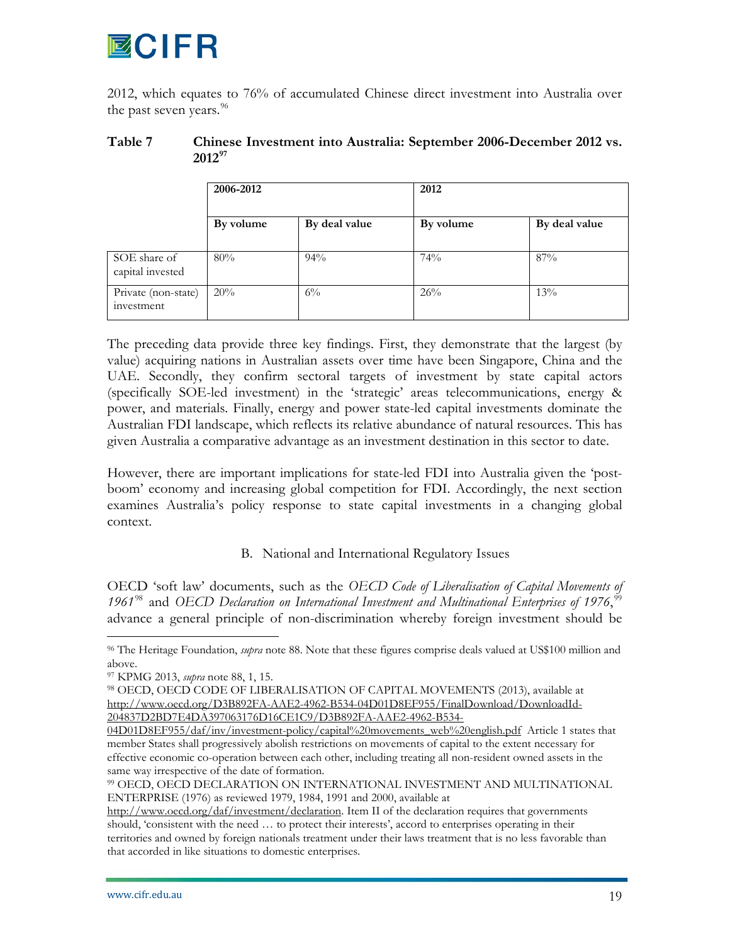# ECIFR

2012, which equates to 76% of accumulated Chinese direct investment into Australia over the past seven years. $^{96}$  $^{96}$  $^{96}$ 

## **Table 7 Chinese Investment into Australia: September 2006-December 2012 vs. 2012[97](#page-20-0)**

|                                   | 2006-2012 |               | 2012      |               |  |
|-----------------------------------|-----------|---------------|-----------|---------------|--|
|                                   | By volume | By deal value | By volume | By deal value |  |
| SOE share of<br>capital invested  | 80%       | 94%           | 74%       | 87%           |  |
| Private (non-state)<br>investment | 20%       | $6\%$         | 26%       | 13%           |  |

The preceding data provide three key findings. First, they demonstrate that the largest (by value) acquiring nations in Australian assets over time have been Singapore, China and the UAE. Secondly, they confirm sectoral targets of investment by state capital actors (specifically SOE-led investment) in the 'strategic' areas telecommunications, energy & power, and materials. Finally, energy and power state-led capital investments dominate the Australian FDI landscape, which reflects its relative abundance of natural resources. This has given Australia a comparative advantage as an investment destination in this sector to date.

However, there are important implications for state-led FDI into Australia given the 'postboom' economy and increasing global competition for FDI. Accordingly, the next section examines Australia's policy response to state capital investments in a changing global context.

# B. National and International Regulatory Issues

OECD 'soft law' documents, such as the *OECD Code of Liberalisation of Capital Movements of*  1961<sup>[98](#page-20-1)</sup> and OECD Declaration on International Investment and Multinational Enterprises of 1976,<sup>[99](#page-20-2)</sup> advance a general principle of non-discrimination whereby foreign investment should be

<span id="page-20-3"></span> <sup>96</sup> The Heritage Foundation, *supra* note 88. Note that these figures comprise deals valued at US\$100 million and above.

<span id="page-20-0"></span><sup>97</sup> KPMG 2013, *supra* note 88, 1, 15.

<span id="page-20-1"></span><sup>98</sup> OECD, OECD CODE OF LIBERALISATION OF CAPITAL MOVEMENTS (2013), available at [http://www.oecd.org/D3B892FA-AAE2-4962-B534-04D01D8EF955/FinalDownload/DownloadId-](http://www.oecd.org/D3B892FA-AAE2-4962-B534-04D01D8EF955/FinalDownload/DownloadId-204837D2BD7E4DA397063176D16CE1C9/D3B892FA-AAE2-4962-B534-04D01D8EF955/daf/inv/investment-policy/capital%20movements_web%20english.pdf)[204837D2BD7E4DA397063176D16CE1C9/D3B892FA-AAE2-4962-B534-](http://www.oecd.org/D3B892FA-AAE2-4962-B534-04D01D8EF955/FinalDownload/DownloadId-204837D2BD7E4DA397063176D16CE1C9/D3B892FA-AAE2-4962-B534-04D01D8EF955/daf/inv/investment-policy/capital%20movements_web%20english.pdf)

[<sup>04</sup>D01D8EF955/daf/inv/investment-policy/capital%20movements\\_web%20english.pdf](http://www.oecd.org/D3B892FA-AAE2-4962-B534-04D01D8EF955/FinalDownload/DownloadId-204837D2BD7E4DA397063176D16CE1C9/D3B892FA-AAE2-4962-B534-04D01D8EF955/daf/inv/investment-policy/capital%20movements_web%20english.pdf) Article 1 states that member States shall progressively abolish restrictions on movements of capital to the extent necessary for effective economic co-operation between each other, including treating all non-resident owned assets in the same way irrespective of the date of formation.

<span id="page-20-2"></span><sup>99</sup> OECD, OECD DECLARATION ON INTERNATIONAL INVESTMENT AND MULTINATIONAL ENTERPRISE (1976) as reviewed 1979, 1984, 1991 and 2000, available at

[http://www.oecd.org/daf/investment/declaration.](http://www.oecd.org/daf/investment/declaration) Item II of the declaration requires that governments should, 'consistent with the need … to protect their interests', accord to enterprises operating in their territories and owned by foreign nationals treatment under their laws treatment that is no less favorable than that accorded in like situations to domestic enterprises.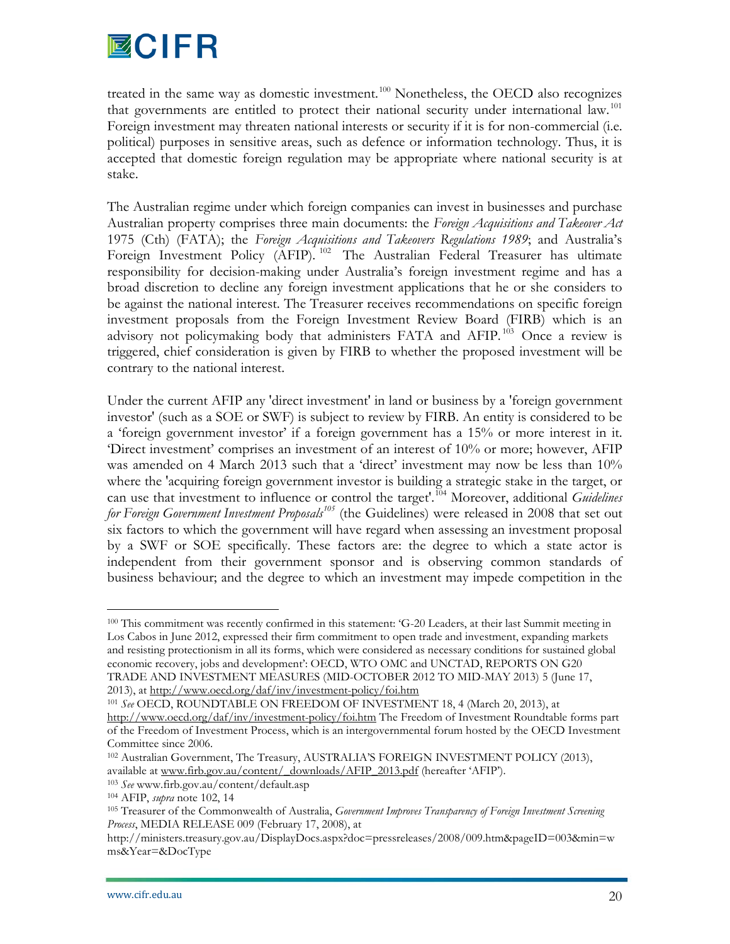

treated in the same way as domestic investment.<sup>[100](#page-20-3)</sup> Nonetheless, the OECD also recognizes that governments are entitled to protect their national security under international law.<sup>[101](#page-21-0)</sup> Foreign investment may threaten national interests or security if it is for non-commercial (i.e. political) purposes in sensitive areas, such as defence or information technology. Thus, it is accepted that domestic foreign regulation may be appropriate where national security is at stake.

The Australian regime under which foreign companies can invest in businesses and purchase Australian property comprises three main documents: the *Foreign Acquisitions and Takeover Act* 1975 (Cth) (FATA); the *Foreign Acquisitions and Takeovers Regulations 1989*; and Australia's Foreign Investment Policy (AFIP).<sup>[102](#page-21-1)</sup> The Australian Federal Treasurer has ultimate responsibility for decision-making under Australia's foreign investment regime and has a broad discretion to decline any foreign investment applications that he or she considers to be against the national interest. The Treasurer receives recommendations on specific foreign investment proposals from the Foreign Investment Review Board (FIRB) which is an advisory not policymaking body that administers FATA and AFIP.<sup>[103](#page-21-2)</sup> Once a review is triggered, chief consideration is given by FIRB to whether the proposed investment will be contrary to the national interest.

Under the current AFIP any 'direct investment' in land or business by a 'foreign government investor' (such as a SOE or SWF) is subject to review by FIRB. An entity is considered to be a 'foreign government investor' if a foreign government has a 15% or more interest in it. 'Direct investment' comprises an investment of an interest of 10% or more; however, AFIP was amended on 4 March 2013 such that a 'direct' investment may now be less than 10% where the 'acquiring foreign government investor is building a strategic stake in the target, or can use that investment to influence or control the target<sup>'.[104](#page-21-3)</sup> Moreover, additional *Guidelines for Foreign Government Investment Proposals[105](#page-21-4)* (the Guidelines) were released in 2008 that set out six factors to which the government will have regard when assessing an investment proposal by a SWF or SOE specifically. These factors are: the degree to which a state actor is independent from their government sponsor and is observing common standards of business behaviour; and the degree to which an investment may impede competition in the

 <sup>100</sup> This commitment was recently confirmed in this statement: 'G-20 Leaders, at their last Summit meeting in Los Cabos in June 2012, expressed their firm commitment to open trade and investment, expanding markets and resisting protectionism in all its forms, which were considered as necessary conditions for sustained global economic recovery, jobs and development': OECD, WTO OMC and UNCTAD, REPORTS ON G20 TRADE AND INVESTMENT MEASURES (MID-OCTOBER 2012 TO MID-MAY 2013) 5 (June 17, 2013), at<http://www.oecd.org/daf/inv/investment-policy/foi.htm>

<span id="page-21-5"></span><span id="page-21-0"></span><sup>101</sup> *See* OECD, ROUNDTABLE ON FREEDOM OF INVESTMENT 18, 4 (March 20, 2013), at

<http://www.oecd.org/daf/inv/investment-policy/foi.htm> The Freedom of Investment Roundtable forms part of the Freedom of Investment Process, which is an intergovernmental forum hosted by the OECD Investment Committee since 2006.

<span id="page-21-1"></span><sup>102</sup> Australian Government, The Treasury, AUSTRALIA'S FOREIGN INVESTMENT POLICY (2013), available at [www.firb.gov.au/content/\\_downloads/AFIP\\_2013.pdf](http://www.firb.gov.au/content/_downloads/AFIP_2013.pdf) (hereafter 'AFIP').

<span id="page-21-2"></span><sup>103</sup> *See* www.firb.gov.au/content/default.asp

<span id="page-21-4"></span><span id="page-21-3"></span><sup>104</sup> AFIP, *supra* note 102, 14

<sup>105</sup> Treasurer of the Commonwealth of Australia, *Government Improves Transparency of Foreign Investment Screening Process*, MEDIA RELEASE 009 (February 17, 2008), at

http://ministers.treasury.gov.au/DisplayDocs.aspx?doc=pressreleases/2008/009.htm&pageID=003&min=w ms&Year=&DocType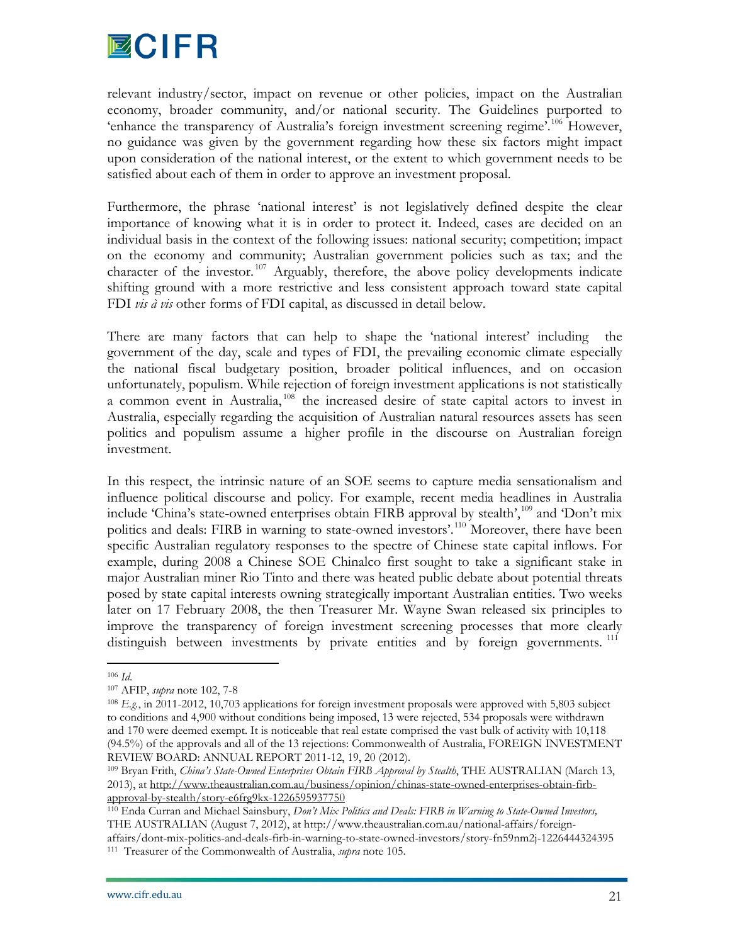

relevant industry/sector, impact on revenue or other policies, impact on the Australian economy, broader community, and/or national security. The Guidelines purported to 'enhance the transparency of Australia's foreign investment screening regime'.<sup>[106](#page-21-5)</sup> However, no guidance was given by the government regarding how these six factors might impact upon consideration of the national interest, or the extent to which government needs to be satisfied about each of them in order to approve an investment proposal.

Furthermore, the phrase 'national interest' is not legislatively defined despite the clear importance of knowing what it is in order to protect it. Indeed, cases are decided on an individual basis in the context of the following issues: national security; competition; impact on the economy and community; Australian government policies such as tax; and the character of the investor.<sup>[107](#page-22-0)</sup> Arguably, therefore, the above policy developments indicate shifting ground with a more restrictive and less consistent approach toward state capital FDI *vis à vis* other forms of FDI capital, as discussed in detail below.

There are many factors that can help to shape the 'national interest' including the government of the day, scale and types of FDI, the prevailing economic climate especially the national fiscal budgetary position, broader political influences, and on occasion unfortunately, populism. While rejection of foreign investment applications is not statistically a common event in Australia,<sup>[108](#page-22-1)</sup> the increased desire of state capital actors to invest in Australia, especially regarding the acquisition of Australian natural resources assets has seen politics and populism assume a higher profile in the discourse on Australian foreign investment.

In this respect, the intrinsic nature of an SOE seems to capture media sensationalism and influence political discourse and policy. For example, recent media headlines in Australia include 'China's state-owned enterprises obtain FIRB approval by stealth',<sup>[109](#page-22-2)</sup> and 'Don't mix politics and deals: FIRB in warning to state-owned investors'.<sup>[110](#page-22-3)</sup> Moreover, there have been specific Australian regulatory responses to the spectre of Chinese state capital inflows. For example, during 2008 a Chinese SOE Chinalco first sought to take a significant stake in major Australian miner Rio Tinto and there was heated public debate about potential threats posed by state capital interests owning strategically important Australian entities. Two weeks later on 17 February 2008, the then Treasurer Mr. Wayne Swan released six principles to improve the transparency of foreign investment screening processes that more clearly distinguish between investments by private entities and by foreign governments.<sup>[111](#page-22-4)</sup>

<span id="page-22-5"></span> <sup>106</sup> *Id*.

<span id="page-22-1"></span><span id="page-22-0"></span><sup>107</sup> AFIP, *supra* note 102, 7-8

<sup>108</sup> *E.g.*, in 2011-2012, 10,703 applications for foreign investment proposals were approved with 5,803 subject to conditions and 4,900 without conditions being imposed, 13 were rejected, 534 proposals were withdrawn and 170 were deemed exempt. It is noticeable that real estate comprised the vast bulk of activity with 10,118 (94.5%) of the approvals and all of the 13 rejections: Commonwealth of Australia, FOREIGN INVESTMENT REVIEW BOARD: ANNUAL REPORT 2011-12, 19, 20 (2012).

<span id="page-22-2"></span><sup>109</sup> Bryan Frith, *China's State-Owned Enterprises Obtain FIRB Approval by Stealth*, THE AUSTRALIAN (March 13, 2013), at [http://www.theaustralian.com.au/business/opinion/chinas-state-owned-enterprises-obtain-firb](http://www.theaustralian.com.au/business/opinion/chinas-state-owned-enterprises-obtain-firb-approval-by-stealth/story-e6frg9kx-1226595937750)[approval-by-stealth/story-e6frg9kx-1226595937750](http://www.theaustralian.com.au/business/opinion/chinas-state-owned-enterprises-obtain-firb-approval-by-stealth/story-e6frg9kx-1226595937750)

<span id="page-22-4"></span><span id="page-22-3"></span><sup>110</sup> Enda Curran and Michael Sainsbury, *Don't Mix Politics and Deals: FIRB in Warning to State-Owned Investors,*  THE AUSTRALIAN (August 7, 2012), at http://www.theaustralian.com.au/national-affairs/foreignaffairs/dont-mix-politics-and-deals-firb-in-warning-to-state-owned-investors/story-fn59nm2j-1226444324395 111 Treasurer of the Commonwealth of Australia, *supra* note 105.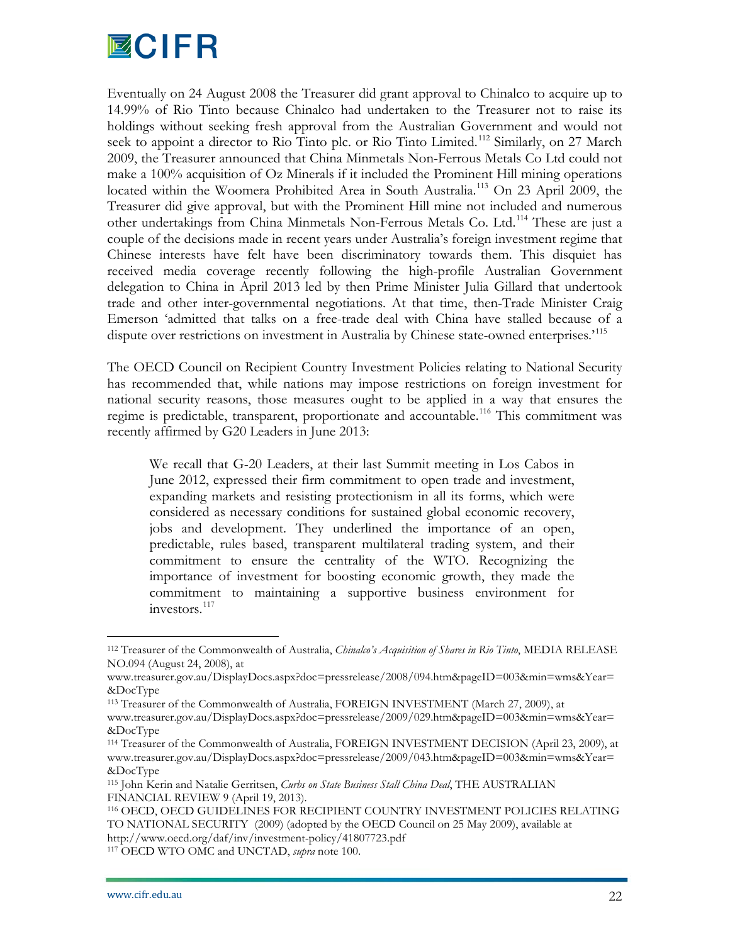

Eventually on 24 August 2008 the Treasurer did grant approval to Chinalco to acquire up to 14.99% of Rio Tinto because Chinalco had undertaken to the Treasurer not to raise its holdings without seeking fresh approval from the Australian Government and would not seek to appoint a director to Rio Tinto plc. or Rio Tinto Limited.<sup>[112](#page-22-5)</sup> Similarly, on 27 March 2009, the Treasurer announced that China Minmetals Non-Ferrous Metals Co Ltd could not make a 100% acquisition of Oz Minerals if it included the Prominent Hill mining operations located within the Woomera Prohibited Area in South Australia.<sup>[113](#page-23-0)</sup> On 23 April 2009, the Treasurer did give approval, but with the Prominent Hill mine not included and numerous other undertakings from China Minmetals Non-Ferrous Metals Co. Ltd.<sup>[114](#page-23-1)</sup> These are just a couple of the decisions made in recent years under Australia's foreign investment regime that Chinese interests have felt have been discriminatory towards them. This disquiet has received media coverage recently following the high-profile Australian Government delegation to China in April 2013 led by then Prime Minister Julia Gillard that undertook trade and other inter-governmental negotiations. At that time, then-Trade Minister Craig Emerson 'admitted that talks on a free-trade deal with China have stalled because of a dispute over restrictions on investment in Australia by Chinese state-owned enterprises.<sup>[115](#page-23-2)</sup>

The OECD Council on Recipient Country Investment Policies relating to National Security has recommended that, while nations may impose restrictions on foreign investment for national security reasons, those measures ought to be applied in a way that ensures the regime is predictable, transparent, proportionate and accountable.<sup>[116](#page-23-3)</sup> This commitment was recently affirmed by G20 Leaders in June 2013:

We recall that G-20 Leaders, at their last Summit meeting in Los Cabos in June 2012, expressed their firm commitment to open trade and investment, expanding markets and resisting protectionism in all its forms, which were considered as necessary conditions for sustained global economic recovery, jobs and development. They underlined the importance of an open, predictable, rules based, transparent multilateral trading system, and their commitment to ensure the centrality of the WTO. Recognizing the importance of investment for boosting economic growth, they made the commitment to maintaining a supportive business environment for investors.<sup>[117](#page-23-4)</sup>

 <sup>112</sup> Treasurer of the Commonwealth of Australia, *Chinalco's Acquisition of Shares in Rio Tinto*, MEDIA RELEASE NO.094 (August 24, 2008), at

www.treasurer.gov.au/DisplayDocs.aspx?doc=pressrelease/2008/094.htm&pageID=003&min=wms&Year= &DocType

<span id="page-23-0"></span><sup>113</sup> Treasurer of the Commonwealth of Australia, FOREIGN INVESTMENT (March 27, 2009), at

www.treasurer.gov.au/DisplayDocs.aspx?doc=pressrelease/2009/029.htm&pageID=003&min=wms&Year= &DocType

<span id="page-23-5"></span><span id="page-23-1"></span><sup>114</sup> Treasurer of the Commonwealth of Australia, FOREIGN INVESTMENT DECISION (April 23, 2009), at www.treasurer.gov.au/DisplayDocs.aspx?doc=pressrelease/2009/043.htm&pageID=003&min=wms&Year= &DocType

<span id="page-23-2"></span><sup>115</sup> John Kerin and Natalie Gerritsen, *Curbs on State Business Stall China Deal*, THE AUSTRALIAN FINANCIAL REVIEW 9 (April 19, 2013).

<span id="page-23-3"></span><sup>116</sup> OECD, OECD GUIDELINES FOR RECIPIENT COUNTRY INVESTMENT POLICIES RELATING TO NATIONAL SECURITY (2009) (adopted by the OECD Council on 25 May 2009), available at http://www.oecd.org/daf/inv/investment-policy/41807723.pdf

<span id="page-23-4"></span><sup>117</sup> OECD WTO OMC and UNCTAD, *supra* note 100.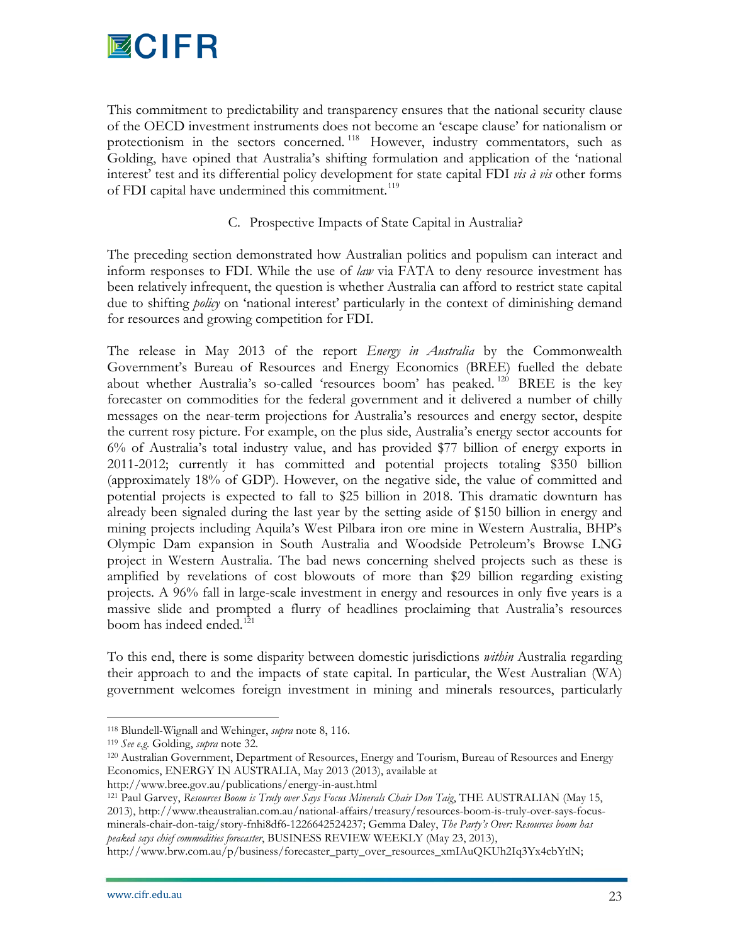

This commitment to predictability and transparency ensures that the national security clause of the OECD investment instruments does not become an 'escape clause' for nationalism or protectionism in the sectors concerned.<sup>[118](#page-23-5)</sup> However, industry commentators, such as Golding, have opined that Australia's shifting formulation and application of the 'national interest' test and its differential policy development for state capital FDI *vis à vis* other forms of FDI capital have undermined this commitment.<sup>[119](#page-24-0)</sup>

# C. Prospective Impacts of State Capital in Australia?

The preceding section demonstrated how Australian politics and populism can interact and inform responses to FDI. While the use of *law* via FATA to deny resource investment has been relatively infrequent, the question is whether Australia can afford to restrict state capital due to shifting *policy* on 'national interest' particularly in the context of diminishing demand for resources and growing competition for FDI.

The release in May 2013 of the report *Energy in Australia* by the Commonwealth Government's Bureau of Resources and Energy Economics (BREE) fuelled the debate about whether Australia's so-called 'resources boom' has peaked.<sup>[120](#page-24-1)</sup> BREE is the key forecaster on commodities for the federal government and it delivered a number of chilly messages on the near-term projections for Australia's resources and energy sector, despite the current rosy picture. For example, on the plus side, Australia's energy sector accounts for 6% of Australia's total industry value, and has provided \$77 billion of energy exports in 2011-2012; currently it has committed and potential projects totaling \$350 billion (approximately 18% of GDP). However, on the negative side, the value of committed and potential projects is expected to fall to \$25 billion in 2018. This dramatic downturn has already been signaled during the last year by the setting aside of \$150 billion in energy and mining projects including Aquila's West Pilbara iron ore mine in Western Australia, BHP's Olympic Dam expansion in South Australia and Woodside Petroleum's Browse LNG project in Western Australia. The bad news concerning shelved projects such as these is amplified by revelations of cost blowouts of more than \$29 billion regarding existing projects. A 96% fall in large-scale investment in energy and resources in only five years is a massive slide and prompted a flurry of headlines proclaiming that Australia's resources boom has indeed ended.<sup>[121](#page-24-2)</sup>

<span id="page-24-3"></span>To this end, there is some disparity between domestic jurisdictions *within* Australia regarding their approach to and the impacts of state capital. In particular, the West Australian (WA) government welcomes foreign investment in mining and minerals resources, particularly

 <sup>118</sup> Blundell-Wignall and Wehinger, *supra* note 8, 116.

<span id="page-24-0"></span><sup>119</sup> *See e.g*. Golding, *supra* note 32.

<span id="page-24-1"></span><sup>120</sup> Australian Government, Department of Resources, Energy and Tourism, Bureau of Resources and Energy Economics, ENERGY IN AUSTRALIA, May 2013 (2013), available at

http://www.bree.gov.au/publications/energy-in-aust.html

<span id="page-24-2"></span><sup>121</sup> Paul Garvey, *Resources Boom is Truly over Says Focus Minerals Chair Don Taig*, THE AUSTRALIAN (May 15, 2013), http://www.theaustralian.com.au/national-affairs/treasury/resources-boom-is-truly-over-says-focusminerals-chair-don-taig/story-fnhi8df6-1226642524237; Gemma Daley, *The Party's Over: Resources boom has peaked says chief commodities forecaster*, BUSINESS REVIEW WEEKLY (May 23, 2013),

http://www.brw.com.au/p/business/forecaster\_party\_over\_resources\_xmIAuQKUh2Iq3Yx4cbYtlN;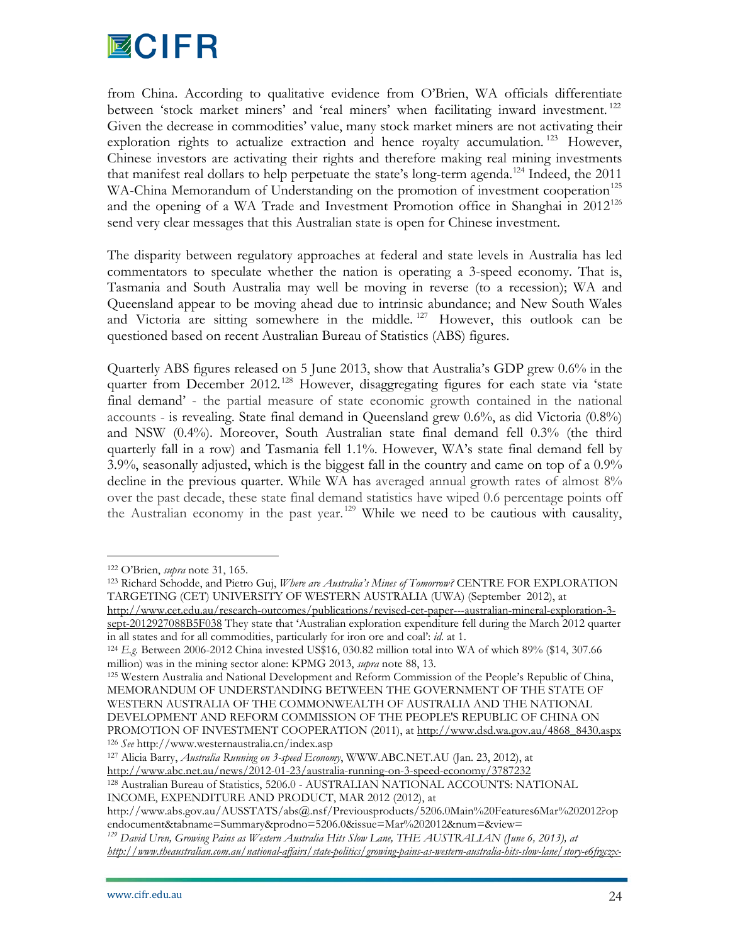

from China. According to qualitative evidence from O'Brien, WA officials differentiate between 'stock market miners' and 'real miners' when facilitating inward investment.<sup>[122](#page-24-3)</sup> Given the decrease in commodities' value, many stock market miners are not activating their exploration rights to actualize extraction and hence royalty accumulation.<sup>[123](#page-25-0)</sup> However, Chinese investors are activating their rights and therefore making real mining investments that manifest real dollars to help perpetuate the state's long-term agenda.<sup>[124](#page-25-1)</sup> Indeed, the 2011 WA-China Memorandum of Understanding on the promotion of investment cooperation<sup>[125](#page-25-2)</sup> and the opening of a WA Trade and Investment Promotion office in Shanghai in  $2012^{126}$  $2012^{126}$  $2012^{126}$ send very clear messages that this Australian state is open for Chinese investment.

The disparity between regulatory approaches at federal and state levels in Australia has led commentators to speculate whether the nation is operating a 3-speed economy. That is, Tasmania and South Australia may well be moving in reverse (to a recession); WA and Queensland appear to be moving ahead due to intrinsic abundance; and New South Wales and Victoria are sitting somewhere in the middle.<sup>[127](#page-25-4)</sup> However, this outlook can be questioned based on recent Australian Bureau of Statistics (ABS) figures.

Quarterly ABS figures released on 5 June 2013, show that Australia's GDP grew 0.6% in the quarter from December 2012.<sup>[128](#page-25-5)</sup> However, disaggregating figures for each state via 'state final demand' - the partial measure of state economic growth contained in the national accounts - is revealing. State final demand in Queensland grew 0.6%, as did Victoria (0.8%) and NSW (0.4%). Moreover, South Australian state final demand fell 0.3% (the third quarterly fall in a row) and Tasmania fell 1.1%. However, WA's state final demand fell by 3.9%, seasonally adjusted, which is the biggest fall in the country and came on top of a 0.9% decline in the previous quarter. While WA has averaged annual growth rates of almost 8% over the past decade, these state final demand statistics have wiped 0.6 percentage points off the Australian economy in the past year. [129](#page-25-6) While we need to be cautious with causality,

<span id="page-25-2"></span><sup>125</sup> Western Australia and National Development and Reform Commission of the People's Republic of China, MEMORANDUM OF UNDERSTANDING BETWEEN THE GOVERNMENT OF THE STATE OF WESTERN AUSTRALIA OF THE COMMONWEALTH OF AUSTRALIA AND THE NATIONAL DEVELOPMENT AND REFORM COMMISSION OF THE PEOPLE'S REPUBLIC OF CHINA ON PROMOTION OF INVESTMENT COOPERATION (2011), at [http://www.dsd.wa.gov.au/4868\\_8430.aspx](http://www.dsd.wa.gov.au/4868_8430.aspx) <sup>126</sup> *See* http://www.westernaustralia.cn/index.asp

<span id="page-25-7"></span><span id="page-25-4"></span><span id="page-25-3"></span><sup>127</sup> Alicia Barry, *Australia Running on 3-speed Economy*, WWW.ABC.NET.AU (Jan. 23, 2012), at <http://www.abc.net.au/news/2012-01-23/australia-running-on-3-speed-economy/3787232>

<span id="page-25-5"></span><sup>128</sup> Australian Bureau of Statistics, 5206.0 - AUSTRALIAN NATIONAL ACCOUNTS: NATIONAL INCOME, EXPENDITURE AND PRODUCT, MAR 2012 (2012), at

 <sup>122</sup> O'Brien, *supra* note 31, 165.

<span id="page-25-0"></span><sup>123</sup> Richard Schodde, and Pietro Guj, *Where are Australia's Mines of Tomorrow?* CENTRE FOR EXPLORATION TARGETING (CET) UNIVERSITY OF WESTERN AUSTRALIA (UWA) (September 2012), at

[http://www.cet.edu.au/research-outcomes/publications/revised-cet-paper---australian-mineral-exploration-3](http://www.cet.edu.au/research-outcomes/publications/revised-cet-paper---australian-mineral-exploration-3-sept-2012927088B5F038) [sept-2012927088B5F038](http://www.cet.edu.au/research-outcomes/publications/revised-cet-paper---australian-mineral-exploration-3-sept-2012927088B5F038) They state that 'Australian exploration expenditure fell during the March 2012 quarter in all states and for all commodities, particularly for iron ore and coal': *id*. at 1.

<span id="page-25-1"></span><sup>124</sup> *E.g.* Between 2006-2012 China invested US\$16, 030.82 million total into WA of which 89% (\$14, 307.66 million) was in the mining sector alone: KPMG 2013, *supra* note 88, 13.

http://www.abs.gov.au/AUSSTATS/abs@.nsf/Previousproducts/5206.0Main%20Features6Mar%202012?op endocument&tabname=Summary&prodno=5206.0&issue=Mar%202012&num=&view=

<span id="page-25-6"></span>*<sup>129</sup> David Uren, Growing Pains as Western Australia Hits Slow Lane, THE AUSTRALIAN (June 6, 2013), at [http://www.theaustralian.com.au/national-affairs/state-politics/growing-pains-as-western-australia-hits-slow-lane/story-e6frgczx-](http://www.theaustralian.com.au/national-affairs/state-politics/growing-pains-as-western-australia-hits-slow-lane/story-e6frgczx-1226658170307)*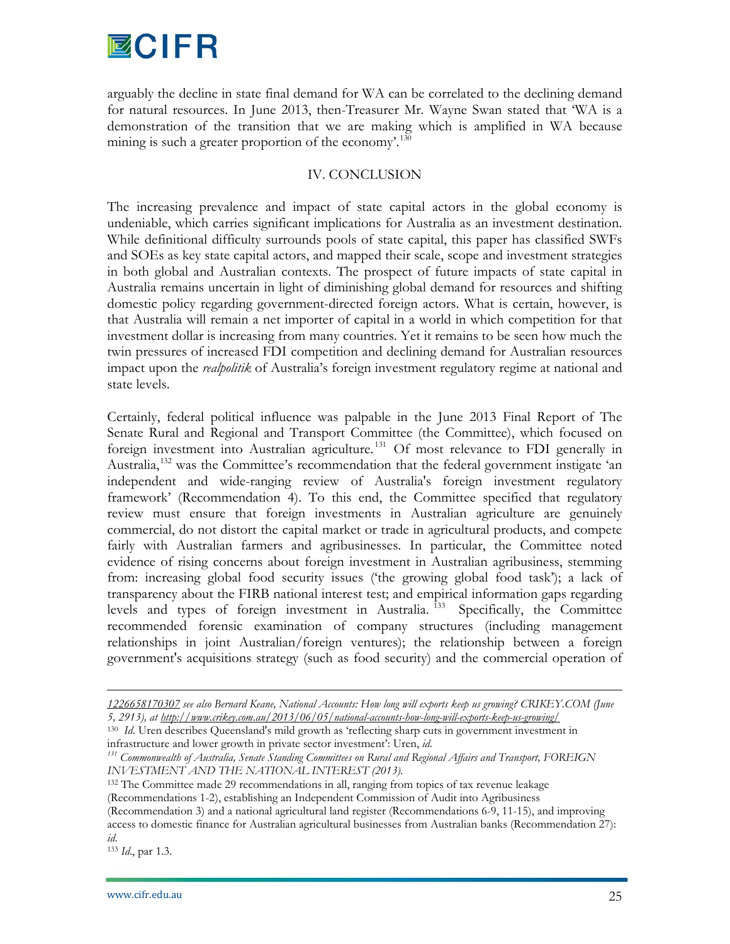

arguably the decline in state final demand for WA can be correlated to the declining demand for natural resources. In June 2013, then-Treasurer Mr. Wayne Swan stated that 'WA is a demonstration of the transition that we are making which is amplified in WA because mining is such a greater proportion of the economy.<sup>[130](#page-25-7)</sup>

## IV. CONCLUSION

The increasing prevalence and impact of state capital actors in the global economy is undeniable, which carries significant implications for Australia as an investment destination. While definitional difficulty surrounds pools of state capital, this paper has classified SWFs and SOEs as key state capital actors, and mapped their scale, scope and investment strategies in both global and Australian contexts. The prospect of future impacts of state capital in Australia remains uncertain in light of diminishing global demand for resources and shifting domestic policy regarding government-directed foreign actors. What is certain, however, is that Australia will remain a net importer of capital in a world in which competition for that investment dollar is increasing from many countries. Yet it remains to be seen how much the twin pressures of increased FDI competition and declining demand for Australian resources impact upon the *realpolitik* of Australia's foreign investment regulatory regime at national and state levels.

Certainly, federal political influence was palpable in the June 2013 Final Report of The Senate Rural and Regional and Transport Committee (the Committee), which focused on foreign investment into Australian agriculture.<sup>[131](#page-26-0)</sup> Of most relevance to FDI generally in Australia,<sup>[132](#page-26-1)</sup> was the Committee's recommendation that the federal government instigate 'an independent and wide-ranging review of Australia's foreign investment regulatory framework' (Recommendation 4). To this end, the Committee specified that regulatory review must ensure that foreign investments in Australian agriculture are genuinely commercial, do not distort the capital market or trade in agricultural products, and compete fairly with Australian farmers and agribusinesses. In particular, the Committee noted evidence of rising concerns about foreign investment in Australian agribusiness, stemming from: increasing global food security issues ('the growing global food task'); a lack of transparency about the FIRB national interest test; and empirical information gaps regarding levels and types of foreign investment in Australia.<sup>[133](#page-26-2)</sup> Specifically, the Committee recommended forensic examination of company structures (including management relationships in joint Australian/foreign ventures); the relationship between a foreign government's acquisitions strategy (such as food security) and the commercial operation of

<span id="page-26-2"></span><sup>133</sup> *Id*., par 1.3.

 $\overline{a}$ 

*[<sup>1226658170307</sup>](http://www.theaustralian.com.au/national-affairs/state-politics/growing-pains-as-western-australia-hits-slow-lane/story-e6frgczx-1226658170307) see also Bernard Keane, National Accounts: How long will exports keep us growing? CRIKEY.COM (June 5, 2913), a[t http://www.crikey.com.au/2013/06/05/national-accounts-how-long-will-exports-keep-us-growing/](http://www.crikey.com.au/2013/06/05/national-accounts-how-long-will-exports-keep-us-growing/)*

<span id="page-26-3"></span><sup>&</sup>lt;sup>130</sup> *Id*. Uren describes Queensland's mild growth as 'reflecting sharp cuts in government investment in infrastructure and lower growth in private sector investment': Uren, *id*.

<span id="page-26-0"></span>*<sup>131</sup> Commonwealth of Australia, Senate Standing Committees on Rural and Regional Affairs and Transport, FOREIGN INVESTMENT AND THE NATIONAL INTEREST (2013).*

<span id="page-26-1"></span><sup>132</sup> The Committee made 29 recommendations in all, ranging from topics of tax revenue leakage

<sup>(</sup>Recommendations 1-2), establishing an Independent Commission of Audit into Agribusiness

<sup>(</sup>Recommendation 3) and a national agricultural land register (Recommendations 6-9, 11-15), and improving access to domestic finance for Australian agricultural businesses from Australian banks (Recommendation 27): *id*.